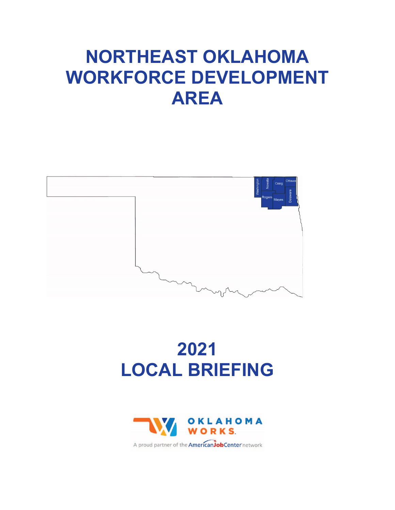# **NORTHEAST OKLAHOMA WORKFORCE DEVELOPMENT AREA**



# **2021 LOCAL BRIEFING**



A proud partner of the **American Job Center** network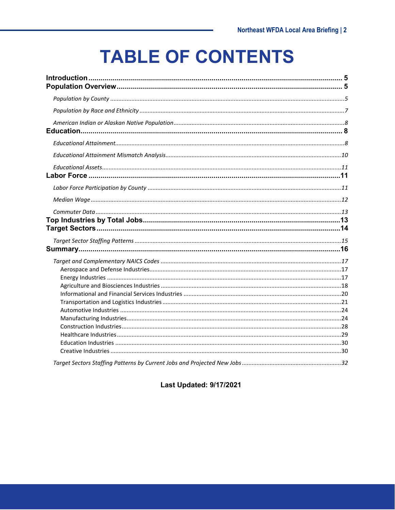# **TABLE OF CONTENTS**

#### **Last Updated: 9/17/2021**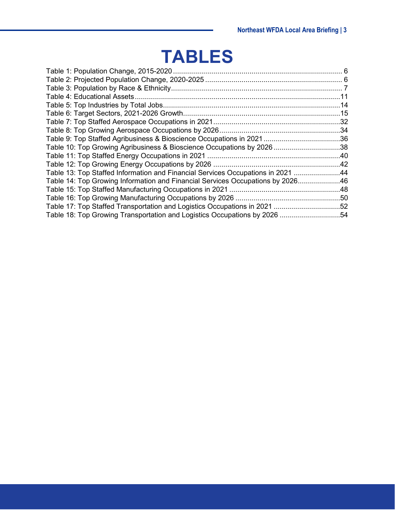# **TABLES**

| Table 10: Top Growing Agribusiness & Bioscience Occupations by 202638           |  |
|---------------------------------------------------------------------------------|--|
|                                                                                 |  |
|                                                                                 |  |
| Table 13: Top Staffed Information and Financial Services Occupations in 2021 44 |  |
| Table 14: Top Growing Information and Financial Services Occupations by 202646  |  |
|                                                                                 |  |
|                                                                                 |  |
| Table 17: Top Staffed Transportation and Logistics Occupations in 2021 52       |  |
|                                                                                 |  |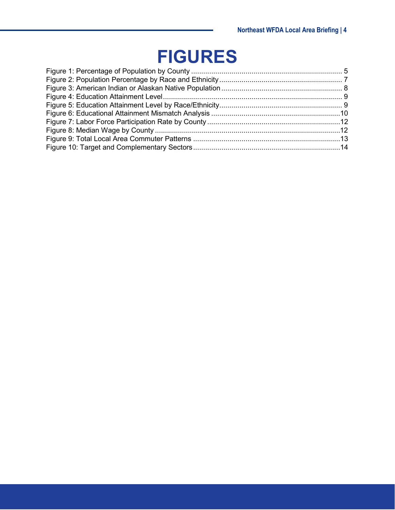# **FIGURES**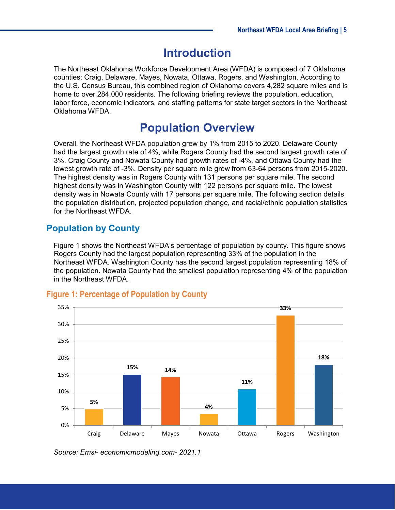# **Introduction**

<span id="page-4-0"></span>The Northeast Oklahoma Workforce Development Area (WFDA) is composed of 7 Oklahoma counties: Craig, Delaware, Mayes, Nowata, Ottawa, Rogers, and Washington. According to the U.S. Census Bureau, this combined region of Oklahoma covers 4,282 square miles and is home to over 284,000 residents. The following briefing reviews the population, education, labor force, economic indicators, and staffing patterns for state target sectors in the Northeast Oklahoma WFDA.

# **Population Overview**

<span id="page-4-1"></span>Overall, the Northeast WFDA population grew by 1% from 2015 to 2020. Delaware County had the largest growth rate of 4%, while Rogers County had the second largest growth rate of 3%. Craig County and Nowata County had growth rates of -4%, and Ottawa County had the lowest growth rate of -3%. Density per square mile grew from 63-64 persons from 2015-2020. The highest density was in Rogers County with 131 persons per square mile. The second highest density was in Washington County with 122 persons per square mile. The lowest density was in Nowata County with 17 persons per square mile. The following section details the population distribution, projected population change, and racial/ethnic population statistics for the Northeast WFDA.

### <span id="page-4-2"></span>**Population by County**

[Figure 1](#page-4-3) shows the Northeast WFDA's percentage of population by county. This figure shows Rogers County had the largest population representing 33% of the population in the Northeast WFDA. Washington County has the second largest population representing 18% of the population. Nowata County had the smallest population representing 4% of the population in the Northeast WFDA.



#### <span id="page-4-3"></span>**Figure 1: Percentage of Population by County**

*Source: Emsi- economicmodeling.com- 2021.1*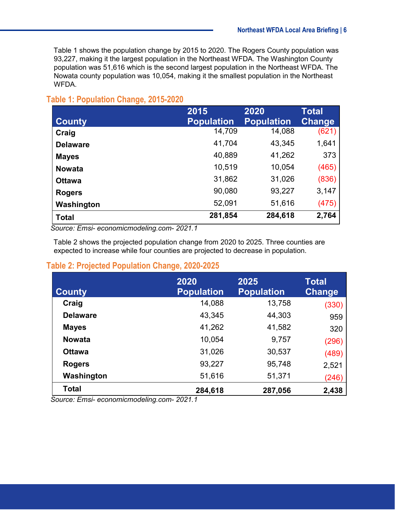[Table 1](#page-5-0) shows the population change by 2015 to 2020. The Rogers County population was 93,227, making it the largest population in the Northeast WFDA. The Washington County population was 51,616 which is the second largest population in the Northeast WFDA. The Nowata county population was 10,054, making it the smallest population in the Northeast WFDA.

#### <span id="page-5-0"></span>**Table 1: Population Change, 2015-2020**

|                 | 2015              | 2020              | Total         |
|-----------------|-------------------|-------------------|---------------|
| <b>County</b>   | <b>Population</b> | <b>Population</b> | <b>Change</b> |
| Craig           | 14,709            | 14,088            | (621)         |
| <b>Delaware</b> | 41,704            | 43,345            | 1,641         |
| <b>Mayes</b>    | 40,889            | 41,262            | 373           |
| <b>Nowata</b>   | 10,519            | 10,054            | (465)         |
| <b>Ottawa</b>   | 31,862            | 31,026            | (836)         |
| <b>Rogers</b>   | 90,080            | 93,227            | 3,147         |
| Washington      | 52,091            | 51,616            | (475)         |
| <b>Total</b>    | 281,854           | 284,618           | 2,764         |

 *Source: Emsi- economicmodeling.com- 2021.1*

[Table 2](#page-5-1) shows the projected population change from 2020 to 2025. Three counties are expected to increase while four counties are projected to decrease in population.

#### <span id="page-5-1"></span>**Table 2: Projected Population Change, 2020-2025**

| <b>County</b>   | 2020<br><b>Population</b> | 2025<br><b>Population</b> | Total<br><b>Change</b> |
|-----------------|---------------------------|---------------------------|------------------------|
| Craig           | 14,088                    | 13,758                    | (330)                  |
| <b>Delaware</b> | 43,345                    | 44,303                    | 959                    |
| <b>Mayes</b>    | 41,262                    | 41,582                    | 320                    |
| <b>Nowata</b>   | 10,054                    | 9,757                     | (296)                  |
| <b>Ottawa</b>   | 31,026                    | 30,537                    | (489)                  |
| <b>Rogers</b>   | 93,227                    | 95,748                    | 2,521                  |
| Washington      | 51,616                    | 51,371                    | (246)                  |
| <b>Total</b>    | 284,618                   | 287,056                   | 2,438                  |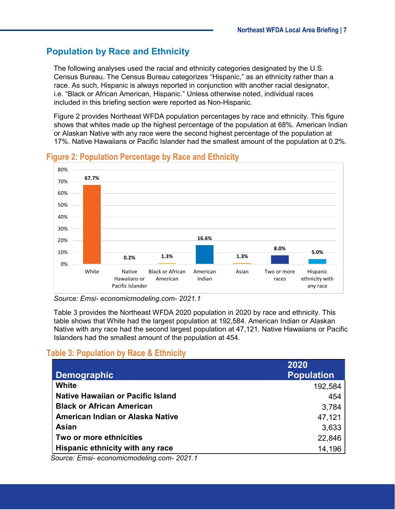## <span id="page-6-0"></span>**Population by Race and Ethnicity**

The following analyses used the racial and ethnicity categories designated by the U.S. Census Bureau. The Census Bureau categorizes "Hispanic," as an ethnicity rather than a race. As such, Hispanic is always reported in conjunction with another racial designator, i.e. "Black or African American, Hispanic." Unless otherwise noted, individual races included in this briefing section were reported as Non-Hispanic.

[Figure 2](#page-6-2) provides Northeast WFDA population percentages by race and ethnicity. This figure shows that whites made up the highest percentage of the population at 68%. American Indian or Alaskan Native with any race were the second highest percentage of the population at 17%. Native Hawaiians or Pacific Islander had the smallest amount of the population at 0.2%.



#### <span id="page-6-2"></span>**Figure 2: Population Percentage by Race and Ethnicity**

*Source: Emsi- economicmodeling.com- 2021.1*

[Table 3](#page-6-1) provides the Northeast WFDA 2020 population in 2020 by race and ethnicity. This table shows that White had the largest population at 192,584. American Indian or Alaskan Native with any race had the second largest population at 47,121. Native Hawaiians or Pacific Islanders had the smallest amount of the population at 454.

### <span id="page-6-1"></span>**Table 3: Population by Race & Ethnicity**

| <b>Demographic</b>                       | 2020<br><b>Population</b> |
|------------------------------------------|---------------------------|
| White                                    | 192,584                   |
| <b>Native Hawaiian or Pacific Island</b> | 454                       |
| <b>Black or African American</b>         | 3,784                     |
| American Indian or Alaska Native         | 47,121                    |
| <b>Asian</b>                             | 3,633                     |
| Two or more ethnicities                  | 22,846                    |
| Hispanic ethnicity with any race         | 14,196                    |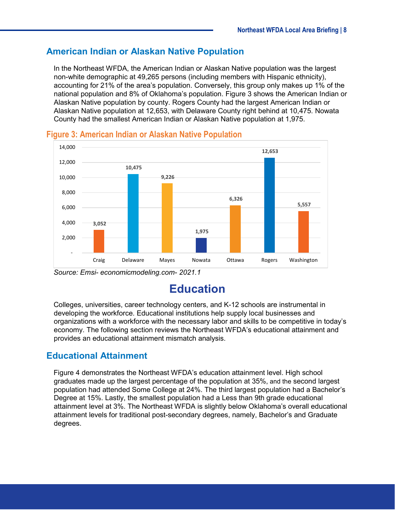#### <span id="page-7-0"></span>**American Indian or Alaskan Native Population**

In the Northeast WFDA, the American Indian or Alaskan Native population was the largest non-white demographic at 49,265 persons (including members with Hispanic ethnicity), accounting for 21% of the area's population. Conversely, this group only makes up 1% of the national population and 8% of Oklahoma's population. [Figure 3](#page-7-3) shows the American Indian or Alaskan Native population by county. Rogers County had the largest American Indian or Alaskan Native population at 12,653, with Delaware County right behind at 10,475. Nowata County had the smallest American Indian or Alaskan Native population at 1,975.



<span id="page-7-3"></span>**Figure 3: American Indian or Alaskan Native Population**

<span id="page-7-1"></span>*Source: Emsi- economicmodeling.com- 2021.1*

# **Education**

Colleges, universities, career technology centers, and K-12 schools are instrumental in developing the workforce. Educational institutions help supply local businesses and organizations with a workforce with the necessary labor and skills to be competitive in today's economy. The following section reviews the Northeast WFDA's educational attainment and provides an educational attainment mismatch analysis.

### <span id="page-7-2"></span>**Educational Attainment**

[Figure 4](#page-8-0) demonstrates the Northeast WFDA's education attainment level. High school graduates made up the largest percentage of the population at 35%, and the second largest population had attended Some College at 24%. The third largest population had a Bachelor's Degree at 15%. Lastly, the smallest population had a Less than 9th grade educational attainment level at 3%. The Northeast WFDA is slightly below Oklahoma's overall educational attainment levels for traditional post-secondary degrees, namely, Bachelor's and Graduate degrees.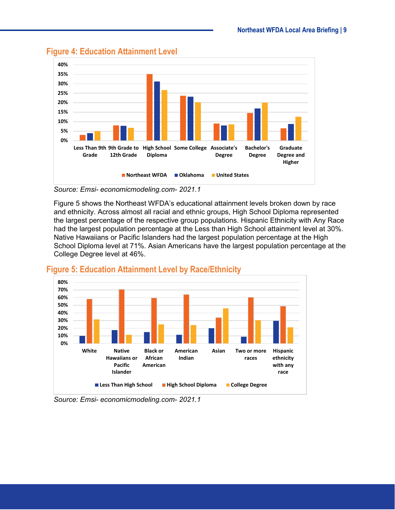

#### <span id="page-8-0"></span>**Figure 4: Education Attainment Level**

*Source: Emsi- economicmodeling.com- 2021.1*

[Figure 5](#page-8-1) shows the Northeast WFDA's educational attainment levels broken down by race and ethnicity. Across almost all racial and ethnic groups, High School Diploma represented the largest percentage of the respective group populations. Hispanic Ethnicity with Any Race had the largest population percentage at the Less than High School attainment level at 30%. Native Hawaiians or Pacific Islanders had the largest population percentage at the High School Diploma level at 71%. Asian Americans have the largest population percentage at the College Degree level at 46%.



#### <span id="page-8-1"></span>**Figure 5: Education Attainment Level by Race/Ethnicity**

*Source: Emsi- economicmodeling.com- 2021.1*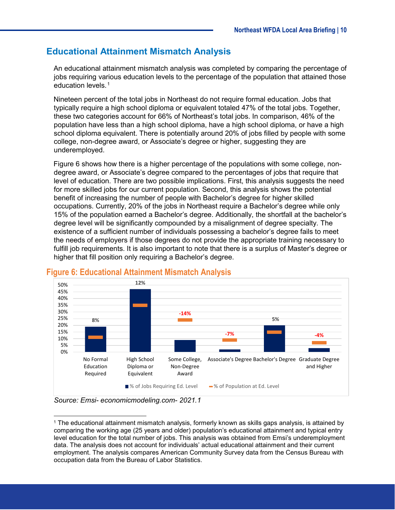### <span id="page-9-0"></span>**Educational Attainment Mismatch Analysis**

An educational attainment mismatch analysis was completed by comparing the percentage of jobs requiring various education levels to the percentage of the population that attained those education levels.<sup>[1](#page-9-2)</sup>

Nineteen percent of the total jobs in Northeast do not require formal education. Jobs that typically require a high school diploma or equivalent totaled 47% of the total jobs. Together, these two categories account for 66% of Northeast's total jobs. In comparison, 46% of the population have less than a high school diploma, have a high school diploma, or have a high school diploma equivalent. There is potentially around 20% of jobs filled by people with some college, non-degree award, or Associate's degree or higher, suggesting they are underemployed.

[Figure 6](#page-9-1) shows how there is a higher percentage of the populations with some college, nondegree award, or Associate's degree compared to the percentages of jobs that require that level of education. There are two possible implications. First, this analysis suggests the need for more skilled jobs for our current population. Second, this analysis shows the potential benefit of increasing the number of people with Bachelor's degree for higher skilled occupations. Currently, 20% of the jobs in Northeast require a Bachelor's degree while only 15% of the population earned a Bachelor's degree. Additionally, the shortfall at the bachelor's degree level will be significantly compounded by a misalignment of degree specialty. The existence of a sufficient number of individuals possessing a bachelor's degree fails to meet the needs of employers if those degrees do not provide the appropriate training necessary to fulfill job requirements. It is also important to note that there is a surplus of Master's degree or higher that fill position only requiring a Bachelor's degree.



## <span id="page-9-1"></span>**Figure 6: Educational Attainment Mismatch Analysis**

*Source: Emsi- economicmodeling.com- 2021.1*

<span id="page-9-2"></span> <sup>1</sup> The educational attainment mismatch analysis, formerly known as skills gaps analysis, is attained by comparing the working age (25 years and older) population's educational attainment and typical entry level education for the total number of jobs. This analysis was obtained from Emsi's underemployment data. The analysis does not account for individuals' actual educational attainment and their current employment. The analysis compares American Community Survey data from the Census Bureau with occupation data from the Bureau of Labor Statistics.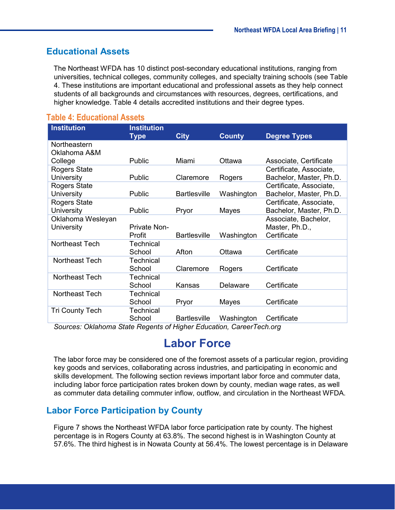#### <span id="page-10-0"></span>**Educational Assets**

The Northeast WFDA has 10 distinct post-secondary educational institutions, ranging from universities, technical colleges, community colleges, and specialty training schools (see [Table](#page-10-3)  [4.](#page-10-3) These institutions are important educational and professional assets as they help connect students of all backgrounds and circumstances with resources, degrees, certifications, and higher knowledge. [Table 4](#page-10-3) details accredited institutions and their degree types.

| <b>Institution</b>           | <b>Institution</b><br><b>Type</b> | <b>City</b>         | <b>County</b> | <b>Degree Types</b>     |
|------------------------------|-----------------------------------|---------------------|---------------|-------------------------|
| Northeastern<br>Oklahoma A&M |                                   |                     |               |                         |
| College                      | Public                            | Miami               | Ottawa        | Associate, Certificate  |
| <b>Rogers State</b>          |                                   |                     |               | Certificate, Associate, |
| University                   | Public                            | Claremore           | Rogers        | Bachelor, Master, Ph.D. |
| Rogers State                 |                                   |                     |               | Certificate, Associate, |
| University                   | Public                            | <b>Bartlesville</b> | Washington    | Bachelor, Master, Ph.D. |
| <b>Rogers State</b>          |                                   |                     |               | Certificate, Associate, |
| University                   | Public                            | Pryor               | Mayes         | Bachelor, Master, Ph.D. |
| Oklahoma Wesleyan            |                                   |                     |               | Associate, Bachelor,    |
| University                   | <b>Private Non-</b>               |                     |               | Master, Ph.D.,          |
|                              | Profit                            | <b>Bartlesville</b> | Washington    | Certificate             |
| Northeast Tech               | <b>Technical</b>                  |                     |               |                         |
|                              | School                            | Afton               | Ottawa        | Certificate             |
| <b>Northeast Tech</b>        | Technical                         |                     |               |                         |
|                              | School                            | Claremore           | Rogers        | Certificate             |
| Northeast Tech               | <b>Technical</b>                  |                     |               |                         |
|                              | School                            | Kansas              | Delaware      | Certificate             |
| Northeast Tech               | Technical                         |                     |               |                         |
|                              | School                            | Pryor               | Mayes         | Certificate             |
| <b>Tri County Tech</b>       | Technical                         |                     |               |                         |
|                              | School                            | <b>Bartlesville</b> | Washington    | Certificate             |

#### <span id="page-10-3"></span>**Table 4: Educational Assets**

<span id="page-10-1"></span>*Sources: Oklahoma State Regents of Higher Education, CareerTech.org*

# **Labor Force**

The labor force may be considered one of the foremost assets of a particular region, providing key goods and services, collaborating across industries, and participating in economic and skills development. The following section reviews important labor force and commuter data, including labor force participation rates broken down by county, median wage rates, as well as commuter data detailing commuter inflow, outflow, and circulation in the Northeast WFDA.

### <span id="page-10-2"></span>**Labor Force Participation by County**

[Figure 7](#page-11-1) shows the Northeast WFDA labor force participation rate by county. The highest percentage is in Rogers County at 63.8%. The second highest is in Washington County at 57.6%. The third highest is in Nowata County at 56.4%. The lowest percentage is in Delaware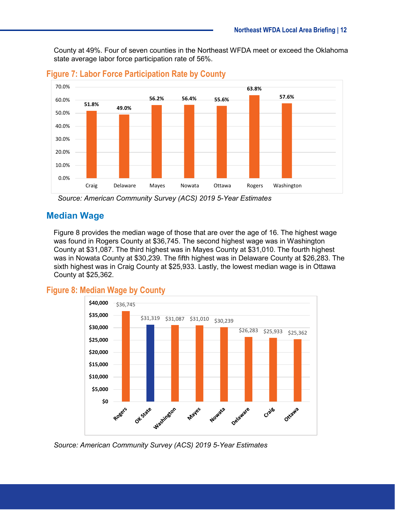County at 49%. Four of seven counties in the Northeast WFDA meet or exceed the Oklahoma state average labor force participation rate of 56%.



#### <span id="page-11-1"></span>**Figure 7: Labor Force Participation Rate by County**

#### <span id="page-11-0"></span>**Median Wage**

[Figure 8](#page-11-2) provides the median wage of those that are over the age of 16. The highest wage was found in Rogers County at \$36,745. The second highest wage was in Washington County at \$31,087. The third highest was in Mayes County at \$31,010. The fourth highest was in Nowata County at \$30,239. The fifth highest was in Delaware County at \$26,283. The sixth highest was in Craig County at \$25,933. Lastly, the lowest median wage is in Ottawa County at \$25,362.

### <span id="page-11-2"></span>**Figure 8: Median Wage by County**



*Source: American Community Survey (ACS) 2019 5-Year Estimates*

*Source: American Community Survey (ACS) 2019 5-Year Estimates*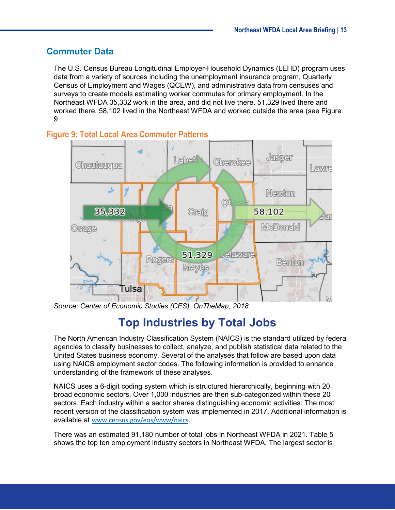#### <span id="page-12-0"></span>**Commuter Data**

The U.S. Census Bureau Longitudinal Employer-Household Dynamics (LEHD) program uses data from a variety of sources including the unemployment insurance program, Quarterly Census of Employment and Wages (QCEW), and administrative data from censuses and surveys to create models estimating worker commutes for primary employment. In the Northeast WFDA 35,332 work in the area, and did not live there. 51,329 lived there and worked there. 58,102 lived in the Northeast WFDA and worked outside the area (see [Figure](#page-12-2)  [9.](#page-12-2)



#### <span id="page-12-2"></span>**Figure 9: Total Local Area Commuter Patterns**

<span id="page-12-1"></span>*Source: Center of Economic Studies (CES), OnTheMap, 2018*

# **Top Industries by Total Jobs**

The North American Industry Classification System (NAICS) is the standard utilized by federal agencies to classify businesses to collect, analyze, and publish statistical data related to the United States business economy. Several of the analyses that follow are based upon data using NAICS employment sector codes. The following information is provided to enhance understanding of the framework of these analyses.

NAICS uses a 6-digit coding system which is structured hierarchically, beginning with 20 broad economic sectors. Over 1,000 industries are then sub-categorized within these 20 sectors. Each industry within a sector shares distinguishing economic activities. The most recent version of the classification system was implemented in 2017. Additional information is available at [www.census.gov/eos/www/naics](http://www.census.gov/eos/www/naics).

There was an estimated 91,180 number of total jobs in Northeast WFDA in 2021. [Table 5](#page-13-1) shows the top ten employment industry sectors in Northeast WFDA. The largest sector is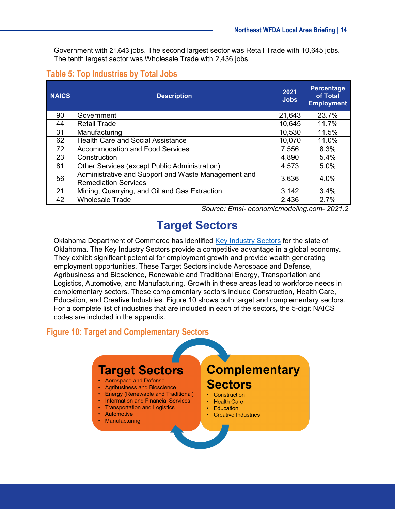Government with 21,643 jobs. The second largest sector was Retail Trade with 10,645 jobs. The tenth largest sector was Wholesale Trade with 2,436 jobs.

<span id="page-13-1"></span>

|  | <b>Table 5: Top Industries by Total Jobs</b> |  |
|--|----------------------------------------------|--|
|--|----------------------------------------------|--|

| <b>NAICS</b> | <b>Description</b>                                                                 | 2021<br><b>Jobs</b> | <b>Percentage</b><br>of Total<br><b>Employment</b> |
|--------------|------------------------------------------------------------------------------------|---------------------|----------------------------------------------------|
| 90           | Government                                                                         | 21,643              | 23.7%                                              |
| 44           | <b>Retail Trade</b>                                                                | 10,645              | 11.7%                                              |
| 31           | Manufacturing                                                                      | 10,530              | 11.5%                                              |
| 62           | <b>Health Care and Social Assistance</b>                                           |                     | 11.0%                                              |
| 72           | <b>Accommodation and Food Services</b>                                             | 7,556               | 8.3%                                               |
| 23           | Construction                                                                       | 4,890               | 5.4%                                               |
| 81           | Other Services (except Public Administration)                                      | 4,573               | 5.0%                                               |
| 56           | Administrative and Support and Waste Management and<br><b>Remediation Services</b> | 3,636               | 4.0%                                               |
| 21           | Mining, Quarrying, and Oil and Gas Extraction                                      | 3,142               | 3.4%                                               |
| 42           | <b>Wholesale Trade</b>                                                             | 2,436               | 2.7%                                               |

*Source: Emsi- economicmodeling.com- 2021.2*

# **Target Sectors**

<span id="page-13-0"></span>Oklahoma Department of Commerce has identified [Key Industry Sectors](https://www.okcommerce.gov/doing-business/business-relocation-expansion/industry-sectors/) for the state of Oklahoma. The Key Industry Sectors provide a competitive advantage in a global economy. They exhibit significant potential for employment growth and provide wealth generating employment opportunities. These Target Sectors include Aerospace and Defense, Agribusiness and Bioscience, Renewable and Traditional Energy, Transportation and Logistics, Automotive, and Manufacturing. Growth in these areas lead to workforce needs in complementary sectors. These complementary sectors include Construction, Health Care, Education, and Creative Industries. [Figure 10](#page-13-2) shows both target and complementary sectors. For a complete list of industries that are included in each of the sectors, the 5-digit NAICS codes are included in the appendix.

#### <span id="page-13-2"></span>**Figure 10: Target and Complementary Sectors**

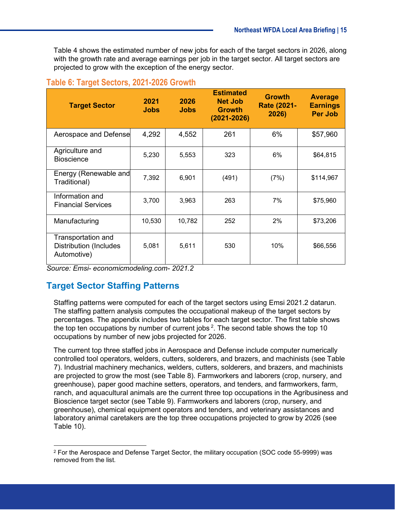[Table 4](#page-14-1) shows the estimated number of new jobs for each of the target sectors in 2026, along with the growth rate and average earnings per job in the target sector. All target sectors are projected to grow with the exception of the energy sector.

#### <span id="page-14-1"></span>**Table 6: Target Sectors, 2021-2026 Growth**

| <b>Target Sector</b>                                               | 2021<br><b>Jobs</b> | 2026<br><b>Jobs</b> | <b>Estimated</b><br><b>Net Job</b><br><b>Growth</b><br>$(2021 - 2026)$ | <b>Growth</b><br><b>Rate (2021-</b><br>2026) | <b>Average</b><br><b>Earnings</b><br><b>Per Job</b> |
|--------------------------------------------------------------------|---------------------|---------------------|------------------------------------------------------------------------|----------------------------------------------|-----------------------------------------------------|
| Aerospace and Defense                                              | 4,292               | 4,552               | 261                                                                    | 6%                                           | \$57,960                                            |
| Agriculture and<br><b>Bioscience</b>                               | 5,230               | 5,553               | 323                                                                    | 6%                                           | \$64,815                                            |
| Energy (Renewable and<br>Traditional)                              | 7,392               | 6,901               | (491)                                                                  | (7%)                                         | \$114,967                                           |
| Information and<br><b>Financial Services</b>                       | 3,700               | 3,963               | 263                                                                    | 7%                                           | \$75,960                                            |
| Manufacturing                                                      | 10,530              | 10,782              | 252                                                                    | 2%                                           | \$73,206                                            |
| Transportation and<br><b>Distribution (Includes</b><br>Automotive) | 5,081               | 5,611               | 530                                                                    | 10%                                          | \$66,556                                            |

*Source: Emsi- economicmodeling.com- 2021.2*

### <span id="page-14-0"></span>**Target Sector Staffing Patterns**

Staffing patterns were computed for each of the target sectors using Emsi 2021.2 datarun. The staffing pattern analysis computes the occupational makeup of the target sectors by percentages. The appendix includes two tables for each target sector. The first table shows the top ten occupations by number of current jobs  $^2$  $^2$ . The second table shows the top 10 occupations by number of new jobs projected for 2026.

The current top three staffed jobs in Aerospace and Defense include computer numerically controlled tool operators, welders, cutters, solderers, and brazers, and machinists (see [Table](#page-31-1)  [7\)](#page-31-1). Industrial machinery mechanics, welders, cutters, solderers, and brazers, and machinists are projected to grow the most (see [Table 8\)](#page-33-0). Farmworkers and laborers (crop, nursery, and greenhouse), paper good machine setters, operators, and tenders, and farmworkers, farm, ranch, and aquacultural animals are the current three top occupations in the Agribusiness and Bioscience target sector (see [Table 9\)](#page-35-0). Farmworkers and laborers (crop, nursery, and greenhouse), chemical equipment operators and tenders, and veterinary assistances and laboratory animal caretakers are the top three occupations projected to grow by 2026 (see [Table 10\)](#page-37-0).

<span id="page-14-2"></span> <sup>2</sup> For the Aerospace and Defense Target Sector, the military occupation (SOC code 55-9999) was removed from the list.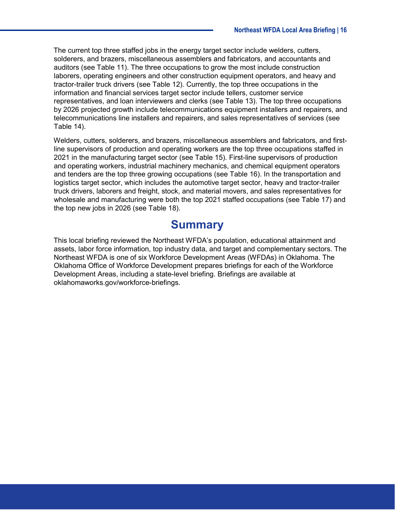The current top three staffed jobs in the energy target sector include welders, cutters, solderers, and brazers, miscellaneous assemblers and fabricators, and accountants and auditors (see [Table 11\)](#page-39-0). The three occupations to grow the most include construction laborers, operating engineers and other construction equipment operators, and heavy and tractor-trailer truck drivers (see [Table 12\)](#page-41-0). Currently, the top three occupations in the information and financial services target sector include tellers, customer service representatives, and loan interviewers and clerks (see [Table 13\)](#page-43-0). The top three occupations by 2026 projected growth include telecommunications equipment installers and repairers, and telecommunications line installers and repairers, and sales representatives of services (see [Table 14\)](#page-45-0).

Welders, cutters, solderers, and brazers, miscellaneous assemblers and fabricators, and firstline supervisors of production and operating workers are the top three occupations staffed in 2021 in the manufacturing target sector (see [Table 15\)](#page-47-0). First-line supervisors of production and operating workers, industrial machinery mechanics, and chemical equipment operators and tenders are the top three growing occupations (see [Table 16\)](#page-49-0). In the transportation and logistics target sector, which includes the automotive target sector, heavy and tractor-trailer truck drivers, laborers and freight, stock, and material movers, and sales representatives for wholesale and manufacturing were both the top 2021 staffed occupations (see [Table 17\)](#page-51-0) and the top new jobs in 2026 (see [Table 18\)](#page-53-0).

# **Summary**

<span id="page-15-0"></span>This local briefing reviewed the Northeast WFDA's population, educational attainment and assets, labor force information, top industry data, and target and complementary sectors. The Northeast WFDA is one of six Workforce Development Areas (WFDAs) in Oklahoma. The Oklahoma Office of Workforce Development prepares briefings for each of the Workforce Development Areas, including a state-level briefing. Briefings are available at oklahomaworks.gov/workforce-briefings.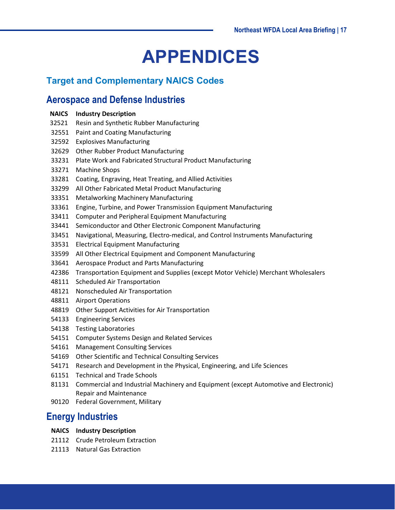# **APPENDICES**

## <span id="page-16-0"></span>**Target and Complementary NAICS Codes**

## <span id="page-16-1"></span>**Aerospace and Defense Industries**

| <b>NAICS</b> Industry Description              |
|------------------------------------------------|
| 32521 Resin and Synthetic Rubber Manufacturing |

- Paint and Coating Manufacturing
- Explosives Manufacturing
- Other Rubber Product Manufacturing
- Plate Work and Fabricated Structural Product Manufacturing
- Machine Shops
- Coating, Engraving, Heat Treating, and Allied Activities
- All Other Fabricated Metal Product Manufacturing
- Metalworking Machinery Manufacturing
- Engine, Turbine, and Power Transmission Equipment Manufacturing
- Computer and Peripheral Equipment Manufacturing
- Semiconductor and Other Electronic Component Manufacturing
- Navigational, Measuring, Electro-medical, and Control Instruments Manufacturing
- Electrical Equipment Manufacturing
- All Other Electrical Equipment and Component Manufacturing
- Aerospace Product and Parts Manufacturing
- Transportation Equipment and Supplies (except Motor Vehicle) Merchant Wholesalers
- Scheduled Air Transportation
- Nonscheduled Air Transportation
- Airport Operations
- Other Support Activities for Air Transportation
- Engineering Services
- Testing Laboratories
- Computer Systems Design and Related Services
- Management Consulting Services
- Other Scientific and Technical Consulting Services
- Research and Development in the Physical, Engineering, and Life Sciences
- Technical and Trade Schools
- Commercial and Industrial Machinery and Equipment (except Automotive and Electronic) Repair and Maintenance
- Federal Government, Military

## <span id="page-16-2"></span>**Energy Industries**

- **NAICS Industry Description**
- Crude Petroleum Extraction
- Natural Gas Extraction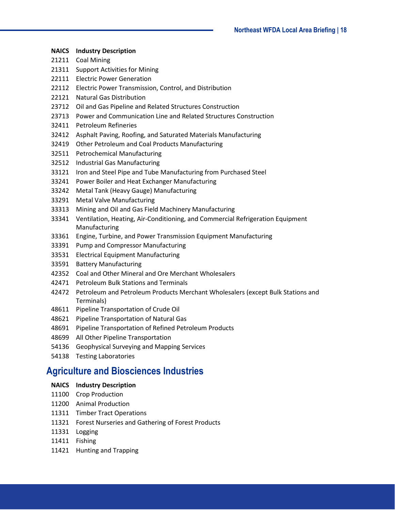- 21211 Coal Mining
- Support Activities for Mining
- Electric Power Generation
- Electric Power Transmission, Control, and Distribution
- Natural Gas Distribution
- Oil and Gas Pipeline and Related Structures Construction
- Power and Communication Line and Related Structures Construction
- Petroleum Refineries
- Asphalt Paving, Roofing, and Saturated Materials Manufacturing
- Other Petroleum and Coal Products Manufacturing
- Petrochemical Manufacturing
- Industrial Gas Manufacturing
- Iron and Steel Pipe and Tube Manufacturing from Purchased Steel
- Power Boiler and Heat Exchanger Manufacturing
- Metal Tank (Heavy Gauge) Manufacturing
- Metal Valve Manufacturing
- Mining and Oil and Gas Field Machinery Manufacturing
- Ventilation, Heating, Air-Conditioning, and Commercial Refrigeration Equipment Manufacturing
- Engine, Turbine, and Power Transmission Equipment Manufacturing
- Pump and Compressor Manufacturing
- Electrical Equipment Manufacturing
- Battery Manufacturing
- Coal and Other Mineral and Ore Merchant Wholesalers
- Petroleum Bulk Stations and Terminals
- Petroleum and Petroleum Products Merchant Wholesalers (except Bulk Stations and Terminals)
- Pipeline Transportation of Crude Oil
- Pipeline Transportation of Natural Gas
- Pipeline Transportation of Refined Petroleum Products
- All Other Pipeline Transportation
- Geophysical Surveying and Mapping Services
- Testing Laboratories

#### <span id="page-17-0"></span>**Agriculture and Biosciences Industries**

#### **NAICS Industry Description**

- Crop Production
- Animal Production
- Timber Tract Operations
- Forest Nurseries and Gathering of Forest Products
- Logging
- Fishing
- Hunting and Trapping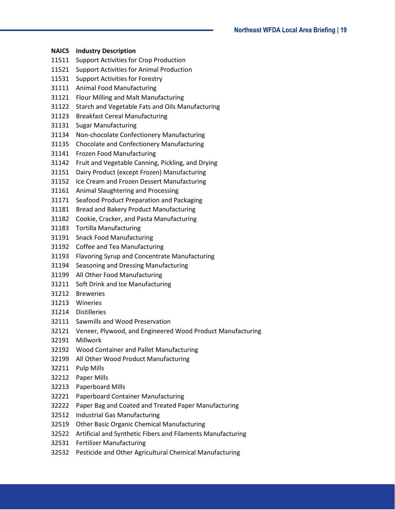| <b>NAICS</b> | <b>Industry Description</b>                                 |
|--------------|-------------------------------------------------------------|
| 11511        | <b>Support Activities for Crop Production</b>               |
| 11521        | <b>Support Activities for Animal Production</b>             |
| 11531        | <b>Support Activities for Forestry</b>                      |
| 31111        | <b>Animal Food Manufacturing</b>                            |
| 31121        | Flour Milling and Malt Manufacturing                        |
| 31122        | Starch and Vegetable Fats and Oils Manufacturing            |
| 31123        | <b>Breakfast Cereal Manufacturing</b>                       |
| 31131        | <b>Sugar Manufacturing</b>                                  |
| 31134        | Non-chocolate Confectionery Manufacturing                   |
| 31135        | Chocolate and Confectionery Manufacturing                   |
| 31141        | <b>Frozen Food Manufacturing</b>                            |
| 31142        | Fruit and Vegetable Canning, Pickling, and Drying           |
| 31151        | Dairy Product (except Frozen) Manufacturing                 |
| 31152        | Ice Cream and Frozen Dessert Manufacturing                  |
| 31161        | Animal Slaughtering and Processing                          |
| 31171        | Seafood Product Preparation and Packaging                   |
| 31181        | <b>Bread and Bakery Product Manufacturing</b>               |
| 31182        | Cookie, Cracker, and Pasta Manufacturing                    |
| 31183        | <b>Tortilla Manufacturing</b>                               |
| 31191        | <b>Snack Food Manufacturing</b>                             |
| 31192        | Coffee and Tea Manufacturing                                |
| 31193        | Flavoring Syrup and Concentrate Manufacturing               |
| 31194        | Seasoning and Dressing Manufacturing                        |
| 31199        | All Other Food Manufacturing                                |
| 31211        | Soft Drink and Ice Manufacturing                            |
| 31212        | <b>Breweries</b>                                            |
|              | 31213 Wineries                                              |
| 31214        | <b>Distilleries</b>                                         |
| 32111        | Sawmills and Wood Preservation                              |
| 32121        | Veneer, Plywood, and Engineered Wood Product Manufacturing  |
| 32191        | Millwork                                                    |
| 32192        | Wood Container and Pallet Manufacturing                     |
| 32199        | All Other Wood Product Manufacturing                        |
| 32211        | <b>Pulp Mills</b>                                           |
| 32212        | Paper Mills                                                 |
| 32213        | Paperboard Mills                                            |
| 32221        | <b>Paperboard Container Manufacturing</b>                   |
| 32222        | Paper Bag and Coated and Treated Paper Manufacturing        |
| 32512        | Industrial Gas Manufacturing                                |
| 32519        | <b>Other Basic Organic Chemical Manufacturing</b>           |
| 32522        | Artificial and Synthetic Fibers and Filaments Manufacturing |
| 32531        | <b>Fertilizer Manufacturing</b>                             |
| 32532        | Pesticide and Other Agricultural Chemical Manufacturing     |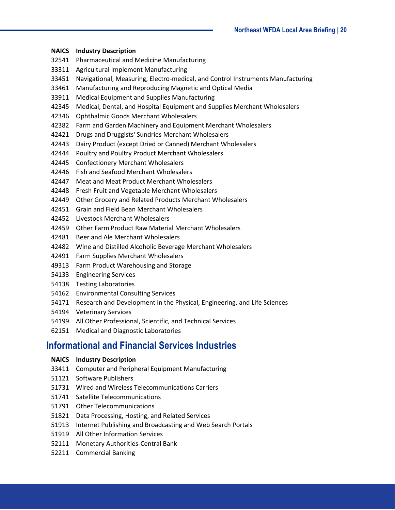- **NAICS Industry Description**
- Pharmaceutical and Medicine Manufacturing
- Agricultural Implement Manufacturing
- Navigational, Measuring, Electro-medical, and Control Instruments Manufacturing
- Manufacturing and Reproducing Magnetic and Optical Media
- Medical Equipment and Supplies Manufacturing
- Medical, Dental, and Hospital Equipment and Supplies Merchant Wholesalers
- Ophthalmic Goods Merchant Wholesalers
- Farm and Garden Machinery and Equipment Merchant Wholesalers
- Drugs and Druggists' Sundries Merchant Wholesalers
- Dairy Product (except Dried or Canned) Merchant Wholesalers
- Poultry and Poultry Product Merchant Wholesalers
- Confectionery Merchant Wholesalers
- Fish and Seafood Merchant Wholesalers
- Meat and Meat Product Merchant Wholesalers
- Fresh Fruit and Vegetable Merchant Wholesalers
- Other Grocery and Related Products Merchant Wholesalers
- Grain and Field Bean Merchant Wholesalers
- Livestock Merchant Wholesalers
- Other Farm Product Raw Material Merchant Wholesalers
- Beer and Ale Merchant Wholesalers
- Wine and Distilled Alcoholic Beverage Merchant Wholesalers
- Farm Supplies Merchant Wholesalers
- Farm Product Warehousing and Storage
- Engineering Services
- Testing Laboratories
- Environmental Consulting Services
- Research and Development in the Physical, Engineering, and Life Sciences
- Veterinary Services
- All Other Professional, Scientific, and Technical Services
- Medical and Diagnostic Laboratories

## <span id="page-19-0"></span>**Informational and Financial Services Industries**

- **NAICS Industry Description**
- Computer and Peripheral Equipment Manufacturing
- Software Publishers
- Wired and Wireless Telecommunications Carriers
- Satellite Telecommunications
- Other Telecommunications
- Data Processing, Hosting, and Related Services
- Internet Publishing and Broadcasting and Web Search Portals
- All Other Information Services
- Monetary Authorities-Central Bank
- Commercial Banking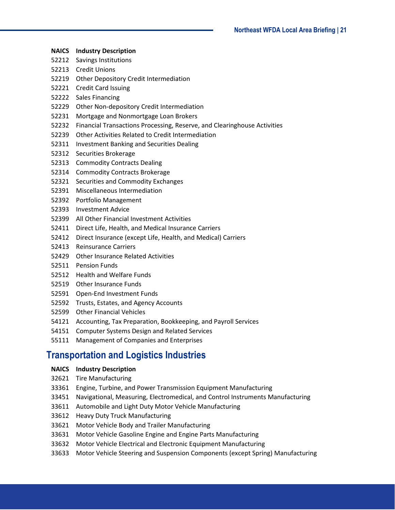- **NAICS Industry Description**
- Savings Institutions
- Credit Unions
- Other Depository Credit Intermediation
- Credit Card Issuing
- Sales Financing
- Other Non-depository Credit Intermediation
- Mortgage and Nonmortgage Loan Brokers
- Financial Transactions Processing, Reserve, and Clearinghouse Activities
- Other Activities Related to Credit Intermediation
- Investment Banking and Securities Dealing
- Securities Brokerage
- Commodity Contracts Dealing
- Commodity Contracts Brokerage
- Securities and Commodity Exchanges
- Miscellaneous Intermediation
- Portfolio Management
- Investment Advice
- All Other Financial Investment Activities
- Direct Life, Health, and Medical Insurance Carriers
- Direct Insurance (except Life, Health, and Medical) Carriers
- Reinsurance Carriers
- Other Insurance Related Activities
- Pension Funds
- Health and Welfare Funds
- Other Insurance Funds
- Open-End Investment Funds
- Trusts, Estates, and Agency Accounts
- Other Financial Vehicles
- Accounting, Tax Preparation, Bookkeeping, and Payroll Services
- Computer Systems Design and Related Services
- Management of Companies and Enterprises

## <span id="page-20-0"></span>**Transportation and Logistics Industries**

#### **NAICS Industry Description**

- Tire Manufacturing
- Engine, Turbine, and Power Transmission Equipment Manufacturing
- Navigational, Measuring, Electromedical, and Control Instruments Manufacturing
- Automobile and Light Duty Motor Vehicle Manufacturing
- Heavy Duty Truck Manufacturing
- Motor Vehicle Body and Trailer Manufacturing
- Motor Vehicle Gasoline Engine and Engine Parts Manufacturing
- Motor Vehicle Electrical and Electronic Equipment Manufacturing
- Motor Vehicle Steering and Suspension Components (except Spring) Manufacturing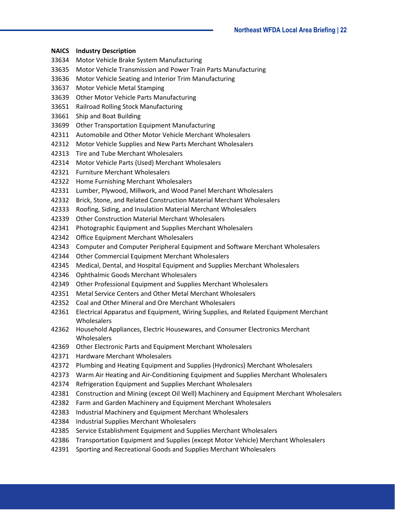- **NAICS Industry Description** Motor Vehicle Brake System Manufacturing Motor Vehicle Transmission and Power Train Parts Manufacturing Motor Vehicle Seating and Interior Trim Manufacturing Motor Vehicle Metal Stamping Other Motor Vehicle Parts Manufacturing Railroad Rolling Stock Manufacturing Ship and Boat Building Other Transportation Equipment Manufacturing Automobile and Other Motor Vehicle Merchant Wholesalers Motor Vehicle Supplies and New Parts Merchant Wholesalers Tire and Tube Merchant Wholesalers Motor Vehicle Parts (Used) Merchant Wholesalers Furniture Merchant Wholesalers
	- Home Furnishing Merchant Wholesalers
	- Lumber, Plywood, Millwork, and Wood Panel Merchant Wholesalers
	- Brick, Stone, and Related Construction Material Merchant Wholesalers
	- Roofing, Siding, and Insulation Material Merchant Wholesalers
	- Other Construction Material Merchant Wholesalers
	- Photographic Equipment and Supplies Merchant Wholesalers
	- Office Equipment Merchant Wholesalers
	- Computer and Computer Peripheral Equipment and Software Merchant Wholesalers
	- Other Commercial Equipment Merchant Wholesalers
	- Medical, Dental, and Hospital Equipment and Supplies Merchant Wholesalers
	- Ophthalmic Goods Merchant Wholesalers
	- Other Professional Equipment and Supplies Merchant Wholesalers
	- Metal Service Centers and Other Metal Merchant Wholesalers
	- Coal and Other Mineral and Ore Merchant Wholesalers
	- Electrical Apparatus and Equipment, Wiring Supplies, and Related Equipment Merchant Wholesalers
	- Household Appliances, Electric Housewares, and Consumer Electronics Merchant **Wholesalers**
	- Other Electronic Parts and Equipment Merchant Wholesalers
	- Hardware Merchant Wholesalers
	- Plumbing and Heating Equipment and Supplies (Hydronics) Merchant Wholesalers
	- Warm Air Heating and Air-Conditioning Equipment and Supplies Merchant Wholesalers
	- Refrigeration Equipment and Supplies Merchant Wholesalers
	- Construction and Mining (except Oil Well) Machinery and Equipment Merchant Wholesalers
	- Farm and Garden Machinery and Equipment Merchant Wholesalers
	- Industrial Machinery and Equipment Merchant Wholesalers
	- Industrial Supplies Merchant Wholesalers
	- Service Establishment Equipment and Supplies Merchant Wholesalers
	- Transportation Equipment and Supplies (except Motor Vehicle) Merchant Wholesalers
	- Sporting and Recreational Goods and Supplies Merchant Wholesalers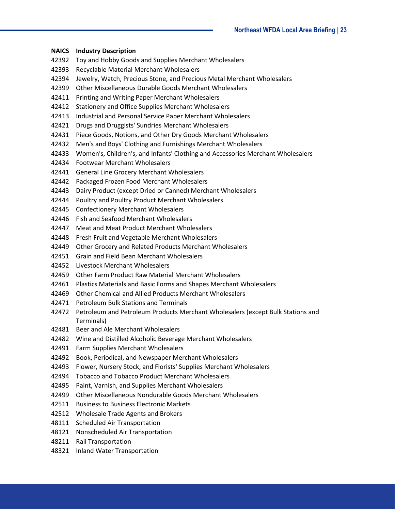| <b>NAICS</b> | <b>Industry Description</b>                                                                   |
|--------------|-----------------------------------------------------------------------------------------------|
| 42392        | Toy and Hobby Goods and Supplies Merchant Wholesalers                                         |
| 42393        | Recyclable Material Merchant Wholesalers                                                      |
| 42394        | Jewelry, Watch, Precious Stone, and Precious Metal Merchant Wholesalers                       |
| 42399        | Other Miscellaneous Durable Goods Merchant Wholesalers                                        |
| 42411        | Printing and Writing Paper Merchant Wholesalers                                               |
| 42412        | <b>Stationery and Office Supplies Merchant Wholesalers</b>                                    |
| 42413        | Industrial and Personal Service Paper Merchant Wholesalers                                    |
| 42421        | Drugs and Druggists' Sundries Merchant Wholesalers                                            |
| 42431        | Piece Goods, Notions, and Other Dry Goods Merchant Wholesalers                                |
| 42432        | Men's and Boys' Clothing and Furnishings Merchant Wholesalers                                 |
| 42433        | Women's, Children's, and Infants' Clothing and Accessories Merchant Wholesalers               |
| 42434        | <b>Footwear Merchant Wholesalers</b>                                                          |
| 42441        | <b>General Line Grocery Merchant Wholesalers</b>                                              |
| 42442        | Packaged Frozen Food Merchant Wholesalers                                                     |
| 42443        | Dairy Product (except Dried or Canned) Merchant Wholesalers                                   |
| 42444        | Poultry and Poultry Product Merchant Wholesalers                                              |
| 42445        | <b>Confectionery Merchant Wholesalers</b>                                                     |
| 42446        | Fish and Seafood Merchant Wholesalers                                                         |
| 42447        | Meat and Meat Product Merchant Wholesalers                                                    |
| 42448        | Fresh Fruit and Vegetable Merchant Wholesalers                                                |
| 42449        | Other Grocery and Related Products Merchant Wholesalers                                       |
| 42451        | Grain and Field Bean Merchant Wholesalers                                                     |
| 42452        | Livestock Merchant Wholesalers                                                                |
| 42459        | Other Farm Product Raw Material Merchant Wholesalers                                          |
| 42461        | Plastics Materials and Basic Forms and Shapes Merchant Wholesalers                            |
| 42469        | Other Chemical and Allied Products Merchant Wholesalers                                       |
| 42471        | <b>Petroleum Bulk Stations and Terminals</b>                                                  |
| 42472        | Petroleum and Petroleum Products Merchant Wholesalers (except Bulk Stations and<br>Terminals) |
| 42481        | Beer and Ale Merchant Wholesalers                                                             |
| 42482        | Wine and Distilled Alcoholic Beverage Merchant Wholesalers                                    |
| 42491        | Farm Supplies Merchant Wholesalers                                                            |
| 42492        | Book, Periodical, and Newspaper Merchant Wholesalers                                          |
| 42493        | Flower, Nursery Stock, and Florists' Supplies Merchant Wholesalers                            |
| 42494        | <b>Tobacco and Tobacco Product Merchant Wholesalers</b>                                       |
| 42495        | Paint, Varnish, and Supplies Merchant Wholesalers                                             |
| 42499        | Other Miscellaneous Nondurable Goods Merchant Wholesalers                                     |
| 42511        | <b>Business to Business Electronic Markets</b>                                                |
| 42512        | <b>Wholesale Trade Agents and Brokers</b>                                                     |
| 48111        | Scheduled Air Transportation                                                                  |
| 48121        | Nonscheduled Air Transportation                                                               |

- Rail Transportation
- Inland Water Transportation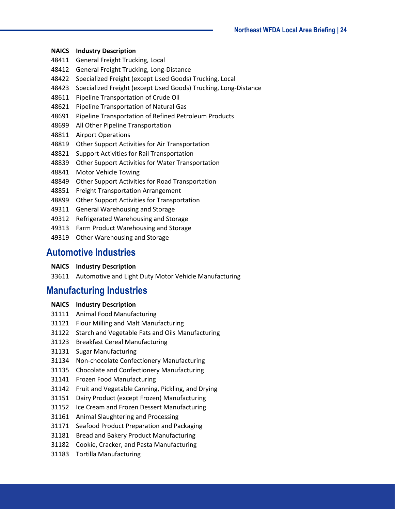- General Freight Trucking, Local
- General Freight Trucking, Long-Distance
- Specialized Freight (except Used Goods) Trucking, Local
- Specialized Freight (except Used Goods) Trucking, Long-Distance
- Pipeline Transportation of Crude Oil
- Pipeline Transportation of Natural Gas
- Pipeline Transportation of Refined Petroleum Products
- All Other Pipeline Transportation
- Airport Operations
- Other Support Activities for Air Transportation
- Support Activities for Rail Transportation
- Other Support Activities for Water Transportation
- Motor Vehicle Towing
- Other Support Activities for Road Transportation
- Freight Transportation Arrangement
- Other Support Activities for Transportation
- General Warehousing and Storage
- Refrigerated Warehousing and Storage
- Farm Product Warehousing and Storage
- Other Warehousing and Storage

#### <span id="page-23-0"></span>**Automotive Industries**

- **NAICS Industry Description**
- Automotive and Light Duty Motor Vehicle Manufacturing

## <span id="page-23-1"></span>**Manufacturing Industries**

- **NAICS Industry Description**
- Animal Food Manufacturing
- Flour Milling and Malt Manufacturing
- Starch and Vegetable Fats and Oils Manufacturing
- Breakfast Cereal Manufacturing
- Sugar Manufacturing
- Non-chocolate Confectionery Manufacturing
- Chocolate and Confectionery Manufacturing
- Frozen Food Manufacturing
- Fruit and Vegetable Canning, Pickling, and Drying
- Dairy Product (except Frozen) Manufacturing
- Ice Cream and Frozen Dessert Manufacturing
- Animal Slaughtering and Processing
- Seafood Product Preparation and Packaging
- Bread and Bakery Product Manufacturing
- Cookie, Cracker, and Pasta Manufacturing
- Tortilla Manufacturing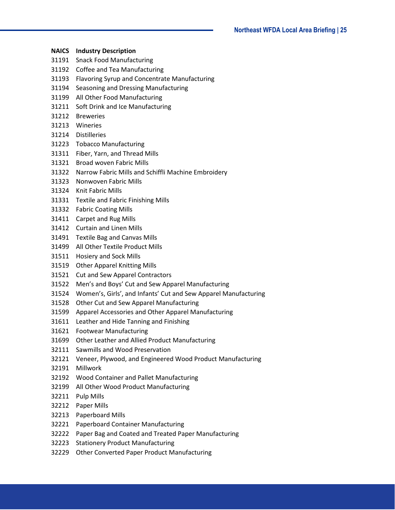- **NAICS Industry Description**
- Snack Food Manufacturing
- Coffee and Tea Manufacturing
- Flavoring Syrup and Concentrate Manufacturing
- Seasoning and Dressing Manufacturing
- All Other Food Manufacturing
- Soft Drink and Ice Manufacturing
- Breweries
- Wineries
- Distilleries
- Tobacco Manufacturing
- Fiber, Yarn, and Thread Mills
- Broad woven Fabric Mills
- Narrow Fabric Mills and Schiffli Machine Embroidery
- Nonwoven Fabric Mills
- Knit Fabric Mills
- Textile and Fabric Finishing Mills
- Fabric Coating Mills
- Carpet and Rug Mills
- Curtain and Linen Mills
- Textile Bag and Canvas Mills
- All Other Textile Product Mills
- Hosiery and Sock Mills
- Other Apparel Knitting Mills
- Cut and Sew Apparel Contractors
- Men's and Boys' Cut and Sew Apparel Manufacturing
- Women's, Girls', and Infants' Cut and Sew Apparel Manufacturing
- Other Cut and Sew Apparel Manufacturing
- Apparel Accessories and Other Apparel Manufacturing
- Leather and Hide Tanning and Finishing
- Footwear Manufacturing
- Other Leather and Allied Product Manufacturing
- Sawmills and Wood Preservation
- Veneer, Plywood, and Engineered Wood Product Manufacturing
- Millwork
- Wood Container and Pallet Manufacturing
- All Other Wood Product Manufacturing
- Pulp Mills
- Paper Mills
- Paperboard Mills
- Paperboard Container Manufacturing
- Paper Bag and Coated and Treated Paper Manufacturing
- Stationery Product Manufacturing
- Other Converted Paper Product Manufacturing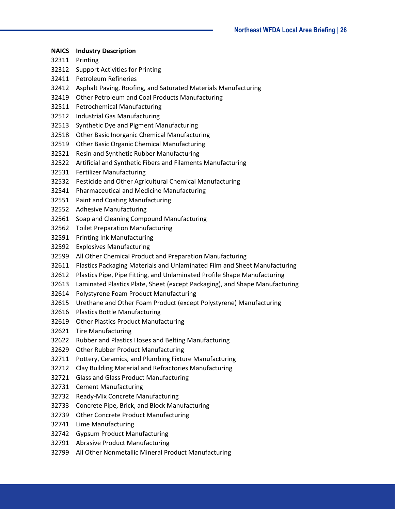**NAICS Industry Description** Printing Support Activities for Printing Petroleum Refineries Asphalt Paving, Roofing, and Saturated Materials Manufacturing Other Petroleum and Coal Products Manufacturing Petrochemical Manufacturing Industrial Gas Manufacturing Synthetic Dye and Pigment Manufacturing Other Basic Inorganic Chemical Manufacturing Other Basic Organic Chemical Manufacturing Resin and Synthetic Rubber Manufacturing Artificial and Synthetic Fibers and Filaments Manufacturing Fertilizer Manufacturing Pesticide and Other Agricultural Chemical Manufacturing Pharmaceutical and Medicine Manufacturing Paint and Coating Manufacturing Adhesive Manufacturing Soap and Cleaning Compound Manufacturing Toilet Preparation Manufacturing Printing Ink Manufacturing Explosives Manufacturing All Other Chemical Product and Preparation Manufacturing Plastics Packaging Materials and Unlaminated Film and Sheet Manufacturing Plastics Pipe, Pipe Fitting, and Unlaminated Profile Shape Manufacturing Laminated Plastics Plate, Sheet (except Packaging), and Shape Manufacturing Polystyrene Foam Product Manufacturing Urethane and Other Foam Product (except Polystyrene) Manufacturing Plastics Bottle Manufacturing Other Plastics Product Manufacturing Tire Manufacturing Rubber and Plastics Hoses and Belting Manufacturing Other Rubber Product Manufacturing Pottery, Ceramics, and Plumbing Fixture Manufacturing Clay Building Material and Refractories Manufacturing Glass and Glass Product Manufacturing Cement Manufacturing Ready-Mix Concrete Manufacturing Concrete Pipe, Brick, and Block Manufacturing Other Concrete Product Manufacturing Lime Manufacturing Gypsum Product Manufacturing Abrasive Product Manufacturing All Other Nonmetallic Mineral Product Manufacturing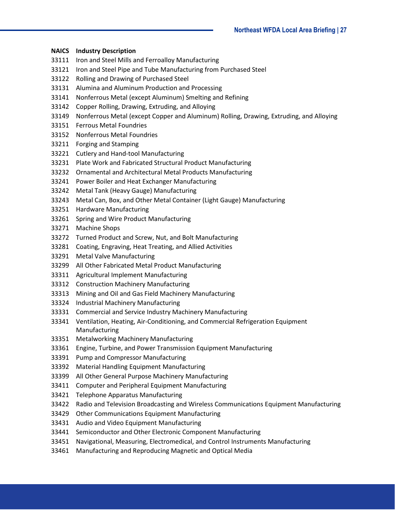- Iron and Steel Mills and Ferroalloy Manufacturing
- Iron and Steel Pipe and Tube Manufacturing from Purchased Steel
- Rolling and Drawing of Purchased Steel
- Alumina and Aluminum Production and Processing
- Nonferrous Metal (except Aluminum) Smelting and Refining
- Copper Rolling, Drawing, Extruding, and Alloying
- Nonferrous Metal (except Copper and Aluminum) Rolling, Drawing, Extruding, and Alloying
- Ferrous Metal Foundries
- Nonferrous Metal Foundries
- Forging and Stamping
- Cutlery and Hand-tool Manufacturing
- Plate Work and Fabricated Structural Product Manufacturing
- Ornamental and Architectural Metal Products Manufacturing
- Power Boiler and Heat Exchanger Manufacturing
- Metal Tank (Heavy Gauge) Manufacturing
- Metal Can, Box, and Other Metal Container (Light Gauge) Manufacturing
- Hardware Manufacturing
- Spring and Wire Product Manufacturing
- Machine Shops
- Turned Product and Screw, Nut, and Bolt Manufacturing
- Coating, Engraving, Heat Treating, and Allied Activities
- Metal Valve Manufacturing
- All Other Fabricated Metal Product Manufacturing
- Agricultural Implement Manufacturing
- Construction Machinery Manufacturing
- Mining and Oil and Gas Field Machinery Manufacturing
- Industrial Machinery Manufacturing
- Commercial and Service Industry Machinery Manufacturing
- Ventilation, Heating, Air-Conditioning, and Commercial Refrigeration Equipment Manufacturing
- Metalworking Machinery Manufacturing
- Engine, Turbine, and Power Transmission Equipment Manufacturing
- Pump and Compressor Manufacturing
- Material Handling Equipment Manufacturing
- All Other General Purpose Machinery Manufacturing
- Computer and Peripheral Equipment Manufacturing
- Telephone Apparatus Manufacturing
- Radio and Television Broadcasting and Wireless Communications Equipment Manufacturing
- Other Communications Equipment Manufacturing
- Audio and Video Equipment Manufacturing
- Semiconductor and Other Electronic Component Manufacturing
- Navigational, Measuring, Electromedical, and Control Instruments Manufacturing
- Manufacturing and Reproducing Magnetic and Optical Media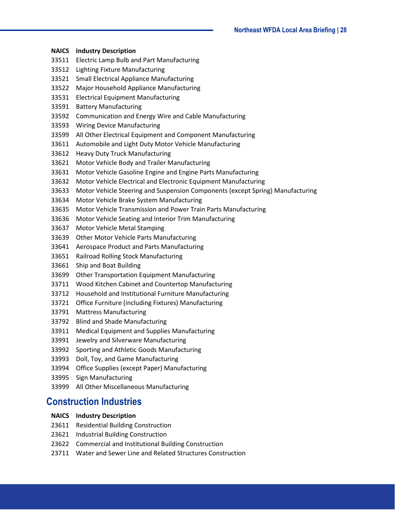| <b>NAICS</b> | <b>Industry Description</b>                                                    |
|--------------|--------------------------------------------------------------------------------|
| 33511        | Electric Lamp Bulb and Part Manufacturing                                      |
| 33512        | <b>Lighting Fixture Manufacturing</b>                                          |
| 33521        | <b>Small Electrical Appliance Manufacturing</b>                                |
| 33522        | Major Household Appliance Manufacturing                                        |
| 33531        | <b>Electrical Equipment Manufacturing</b>                                      |
| 33591        | <b>Battery Manufacturing</b>                                                   |
| 33592        | Communication and Energy Wire and Cable Manufacturing                          |
| 33593        | <b>Wiring Device Manufacturing</b>                                             |
| 33599        | All Other Electrical Equipment and Component Manufacturing                     |
| 33611        | Automobile and Light Duty Motor Vehicle Manufacturing                          |
| 33612        | <b>Heavy Duty Truck Manufacturing</b>                                          |
| 33621        | Motor Vehicle Body and Trailer Manufacturing                                   |
| 33631        | Motor Vehicle Gasoline Engine and Engine Parts Manufacturing                   |
| 33632        | Motor Vehicle Electrical and Electronic Equipment Manufacturing                |
| 33633        | Motor Vehicle Steering and Suspension Components (except Spring) Manufacturing |
| 33634        | Motor Vehicle Brake System Manufacturing                                       |
| 33635        | Motor Vehicle Transmission and Power Train Parts Manufacturing                 |
| 33636        | Motor Vehicle Seating and Interior Trim Manufacturing                          |
| 33637        | Motor Vehicle Metal Stamping                                                   |
| 33639        | <b>Other Motor Vehicle Parts Manufacturing</b>                                 |
| 33641        | Aerospace Product and Parts Manufacturing                                      |
| 33651        | Railroad Rolling Stock Manufacturing                                           |
| 33661        | Ship and Boat Building                                                         |
| 33699        | <b>Other Transportation Equipment Manufacturing</b>                            |
| 33711        | Wood Kitchen Cabinet and Countertop Manufacturing                              |
| 33712        | Household and Institutional Furniture Manufacturing                            |
| 33721        | Office Furniture (including Fixtures) Manufacturing                            |
| 33791        | <b>Mattress Manufacturing</b>                                                  |
| 33792        | <b>Blind and Shade Manufacturing</b>                                           |
| 33911        | Medical Equipment and Supplies Manufacturing                                   |
| 33991        | Jewelry and Silverware Manufacturing                                           |
| 33992        | Sporting and Athletic Goods Manufacturing                                      |
| 33993        | Doll, Toy, and Game Manufacturing                                              |
| 33994        | <b>Office Supplies (except Paper) Manufacturing</b>                            |
| 33995        | Sign Manufacturing                                                             |
| 33999        | All Other Miscellaneous Manufacturing                                          |
|              | <b>Construction Industries</b>                                                 |

- <span id="page-27-0"></span>Residential Building Construction
- Industrial Building Construction
- Commercial and Institutional Building Construction
- Water and Sewer Line and Related Structures Construction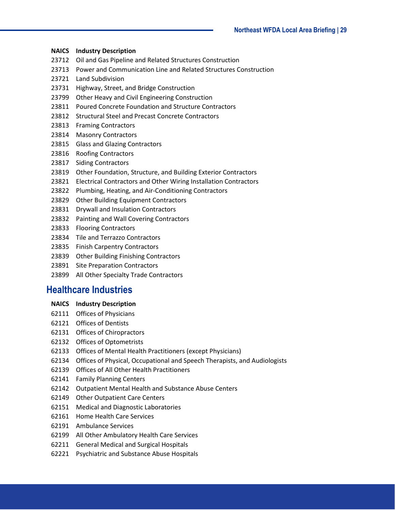- Oil and Gas Pipeline and Related Structures Construction
- Power and Communication Line and Related Structures Construction
- Land Subdivision
- Highway, Street, and Bridge Construction
- Other Heavy and Civil Engineering Construction
- Poured Concrete Foundation and Structure Contractors
- Structural Steel and Precast Concrete Contractors
- Framing Contractors
- Masonry Contractors
- Glass and Glazing Contractors
- Roofing Contractors
- Siding Contractors
- Other Foundation, Structure, and Building Exterior Contractors
- Electrical Contractors and Other Wiring Installation Contractors
- Plumbing, Heating, and Air-Conditioning Contractors
- Other Building Equipment Contractors
- Drywall and Insulation Contractors
- Painting and Wall Covering Contractors
- Flooring Contractors
- Tile and Terrazzo Contractors
- Finish Carpentry Contractors
- Other Building Finishing Contractors
- Site Preparation Contractors
- All Other Specialty Trade Contractors

## <span id="page-28-0"></span>**Healthcare Industries**

- **NAICS Industry Description**
- Offices of Physicians
- Offices of Dentists
- Offices of Chiropractors
- Offices of Optometrists
- Offices of Mental Health Practitioners (except Physicians)
- Offices of Physical, Occupational and Speech Therapists, and Audiologists
- Offices of All Other Health Practitioners
- Family Planning Centers
- Outpatient Mental Health and Substance Abuse Centers
- Other Outpatient Care Centers
- Medical and Diagnostic Laboratories
- Home Health Care Services
- Ambulance Services
- All Other Ambulatory Health Care Services
- General Medical and Surgical Hospitals
- Psychiatric and Substance Abuse Hospitals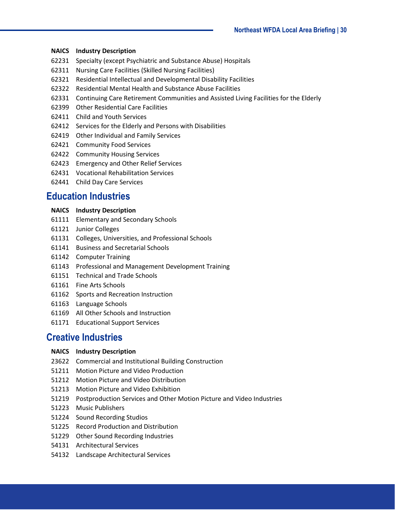- Specialty (except Psychiatric and Substance Abuse) Hospitals
- Nursing Care Facilities (Skilled Nursing Facilities)
- Residential Intellectual and Developmental Disability Facilities
- Residential Mental Health and Substance Abuse Facilities
- Continuing Care Retirement Communities and Assisted Living Facilities for the Elderly
- Other Residential Care Facilities
- Child and Youth Services
- Services for the Elderly and Persons with Disabilities
- Other Individual and Family Services
- Community Food Services
- Community Housing Services
- Emergency and Other Relief Services
- Vocational Rehabilitation Services
- Child Day Care Services

## <span id="page-29-0"></span>**Education Industries**

#### **NAICS Industry Description**

- Elementary and Secondary Schools
- Junior Colleges
- Colleges, Universities, and Professional Schools
- Business and Secretarial Schools
- Computer Training
- Professional and Management Development Training
- Technical and Trade Schools
- Fine Arts Schools
- Sports and Recreation Instruction
- Language Schools
- All Other Schools and Instruction
- Educational Support Services

### <span id="page-29-1"></span>**Creative Industries**

#### **NAICS Industry Description**

- Commercial and Institutional Building Construction
- Motion Picture and Video Production
- Motion Picture and Video Distribution
- Motion Picture and Video Exhibition
- Postproduction Services and Other Motion Picture and Video Industries
- Music Publishers
- Sound Recording Studios
- Record Production and Distribution
- Other Sound Recording Industries
- Architectural Services
- Landscape Architectural Services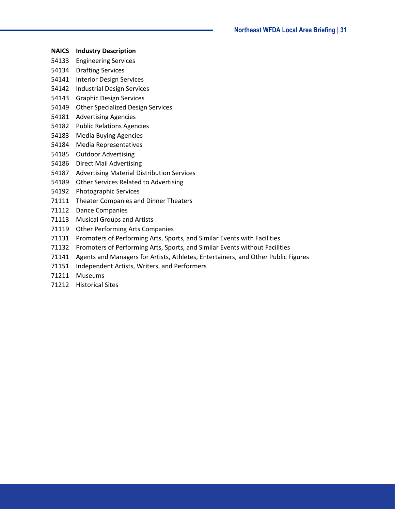- **NAICS Industry Description**
- Engineering Services
- Drafting Services
- Interior Design Services
- Industrial Design Services
- Graphic Design Services
- Other Specialized Design Services
- Advertising Agencies
- Public Relations Agencies
- Media Buying Agencies
- Media Representatives
- Outdoor Advertising
- Direct Mail Advertising
- Advertising Material Distribution Services
- Other Services Related to Advertising
- Photographic Services
- Theater Companies and Dinner Theaters
- Dance Companies
- Musical Groups and Artists
- Other Performing Arts Companies
- Promoters of Performing Arts, Sports, and Similar Events with Facilities
- Promoters of Performing Arts, Sports, and Similar Events without Facilities
- Agents and Managers for Artists, Athletes, Entertainers, and Other Public Figures
- Independent Artists, Writers, and Performers
- Museums
- Historical Sites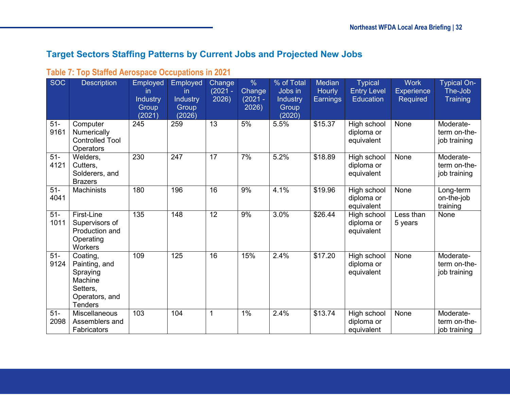## **Target Sectors Staffing Patterns by Current Jobs and Projected New Jobs**

## **Table 7: Top Staffed Aerospace Occupations in 2021**

<span id="page-31-1"></span><span id="page-31-0"></span>

| <b>SOC</b>     | <b>Description</b>                                                                               | <b>Employed</b><br>in.<br><b>Industry</b><br>Group<br>(2021) | Employed<br>in.<br>Industry<br>Group<br>(2026) | Change<br>$(2021 -$<br>2026) | $\frac{0}{6}$<br>Change<br>$(2021 -$<br>2026) | % of Total<br>Jobs in<br>Industry<br>Group<br>(2020) | <b>Median</b><br><b>Hourly</b><br>Earnings | <b>Typical</b><br><b>Entry Level</b><br><b>Education</b> | <b>Work</b><br><b>Experience</b><br><b>Required</b> | <b>Typical On-</b><br>The-Job<br><b>Training</b> |
|----------------|--------------------------------------------------------------------------------------------------|--------------------------------------------------------------|------------------------------------------------|------------------------------|-----------------------------------------------|------------------------------------------------------|--------------------------------------------|----------------------------------------------------------|-----------------------------------------------------|--------------------------------------------------|
| $51 -$<br>9161 | Computer<br>Numerically<br><b>Controlled Tool</b><br>Operators                                   | 245                                                          | 259                                            | 13                           | 5%                                            | 5.5%                                                 | \$15.37                                    | High school<br>diploma or<br>equivalent                  | None                                                | Moderate-<br>term on-the-<br>job training        |
| $51-$<br>4121  | Welders,<br>Cutters,<br>Solderers, and<br><b>Brazers</b>                                         | 230                                                          | 247                                            | $\overline{17}$              | 7%                                            | 5.2%                                                 | \$18.89                                    | High school<br>diploma or<br>equivalent                  | None                                                | Moderate-<br>term on-the-<br>job training        |
| $51-$<br>4041  | Machinists                                                                                       | 180                                                          | 196                                            | 16                           | 9%                                            | 4.1%                                                 | \$19.96                                    | High school<br>diploma or<br>equivalent                  | None                                                | Long-term<br>on-the-job<br>training              |
| $51-$<br>1011  | First-Line<br>Supervisors of<br>Production and<br>Operating<br>Workers                           | 135                                                          | 148                                            | 12                           | 9%                                            | 3.0%                                                 | \$26.44                                    | High school<br>diploma or<br>equivalent                  | Less than<br>5 years                                | None                                             |
| $51-$<br>9124  | Coating,<br>Painting, and<br>Spraying<br>Machine<br>Setters,<br>Operators, and<br><b>Tenders</b> | 109                                                          | 125                                            | 16                           | 15%                                           | 2.4%                                                 | \$17.20                                    | High school<br>diploma or<br>equivalent                  | None                                                | Moderate-<br>term on-the-<br>job training        |
| $51-$<br>2098  | <b>Miscellaneous</b><br>Assemblers and<br>Fabricators                                            | 103                                                          | 104                                            | $\mathbf{1}$                 | 1%                                            | 2.4%                                                 | \$13.74                                    | High school<br>diploma or<br>equivalent                  | None                                                | Moderate-<br>term on-the-<br>job training        |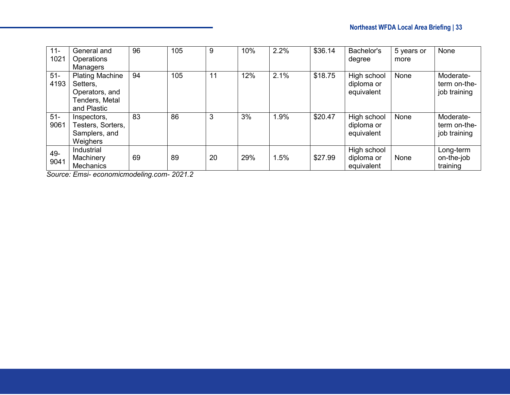| $11 -$<br>1021 | General and<br><b>Operations</b><br>Managers                                          | 96 | 105 | 9  | 10% | 2.2% | \$36.14 | Bachelor's<br>degree                    | 5 years or<br>more | None                                      |
|----------------|---------------------------------------------------------------------------------------|----|-----|----|-----|------|---------|-----------------------------------------|--------------------|-------------------------------------------|
| $51-$<br>4193  | <b>Plating Machine</b><br>Setters,<br>Operators, and<br>Tenders, Metal<br>and Plastic | 94 | 105 | 11 | 12% | 2.1% | \$18.75 | High school<br>diploma or<br>equivalent | None               | Moderate-<br>term on-the-<br>job training |
| $51 -$<br>9061 | Inspectors,<br>Testers, Sorters,<br>Samplers, and<br>Weighers                         | 83 | 86  | 3  | 3%  | 1.9% | \$20.47 | High school<br>diploma or<br>equivalent | None               | Moderate-<br>term on-the-<br>job training |
| 49-<br>9041    | Industrial<br>Machinery<br><b>Mechanics</b>                                           | 69 | 89  | 20 | 29% | 1.5% | \$27.99 | High school<br>diploma or<br>equivalent | None               | Long-term<br>on-the-job<br>training       |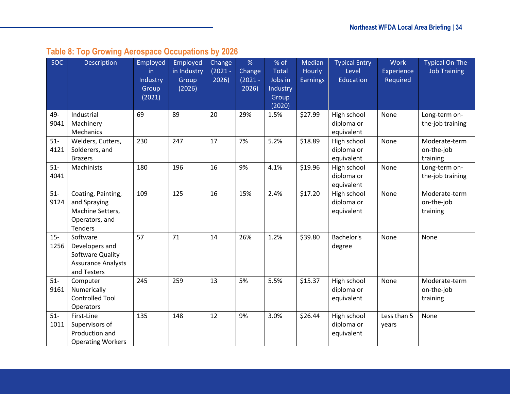# **Table 8: Top Growing Aerospace Occupations by 2026**

<span id="page-33-0"></span>

| <b>SOC</b>     | <b>Description</b>                                                                         | Employed<br>in.<br>Industry<br>Group<br>(2021) | Employed<br>in Industry<br>Group<br>(2026) | Change<br>$(2021 -$<br>2026) | %<br>Change<br>$(2021 -$<br>2026) | % of<br><b>Total</b><br>Jobs in<br>Industry<br>Group<br>(2020) | Median<br><b>Hourly</b><br><b>Earnings</b> | <b>Typical Entry</b><br>Level<br>Education | <b>Work</b><br>Experience<br>Required | <b>Typical On-The-</b><br><b>Job Training</b> |
|----------------|--------------------------------------------------------------------------------------------|------------------------------------------------|--------------------------------------------|------------------------------|-----------------------------------|----------------------------------------------------------------|--------------------------------------------|--------------------------------------------|---------------------------------------|-----------------------------------------------|
| 49-<br>9041    | Industrial<br>Machinery<br>Mechanics                                                       | 69                                             | 89                                         | 20                           | 29%                               | 1.5%                                                           | \$27.99                                    | High school<br>diploma or<br>equivalent    | None                                  | Long-term on-<br>the-job training             |
| $51-$<br>4121  | Welders, Cutters,<br>Solderers, and<br><b>Brazers</b>                                      | 230                                            | 247                                        | 17                           | 7%                                | 5.2%                                                           | \$18.89                                    | High school<br>diploma or<br>equivalent    | None                                  | Moderate-term<br>on-the-job<br>training       |
| $51-$<br>4041  | Machinists                                                                                 | 180                                            | 196                                        | 16                           | 9%                                | 4.1%                                                           | \$19.96                                    | High school<br>diploma or<br>equivalent    | None                                  | Long-term on-<br>the-job training             |
| $51-$<br>9124  | Coating, Painting,<br>and Spraying<br>Machine Setters,<br>Operators, and<br><b>Tenders</b> | 109                                            | 125                                        | 16                           | 15%                               | 2.4%                                                           | \$17.20                                    | High school<br>diploma or<br>equivalent    | None                                  | Moderate-term<br>on-the-job<br>training       |
| $15 -$<br>1256 | Software<br>Developers and<br>Software Quality<br><b>Assurance Analysts</b><br>and Testers | 57                                             | 71                                         | 14                           | 26%                               | 1.2%                                                           | \$39.80                                    | Bachelor's<br>degree                       | None                                  | None                                          |
| $51-$<br>9161  | Computer<br>Numerically<br><b>Controlled Tool</b><br>Operators                             | 245                                            | 259                                        | 13                           | 5%                                | 5.5%                                                           | \$15.37                                    | High school<br>diploma or<br>equivalent    | None                                  | Moderate-term<br>on-the-job<br>training       |
| $51-$<br>1011  | First-Line<br>Supervisors of<br>Production and<br><b>Operating Workers</b>                 | 135                                            | 148                                        | 12                           | 9%                                | 3.0%                                                           | \$26.44                                    | High school<br>diploma or<br>equivalent    | Less than 5<br>years                  | None                                          |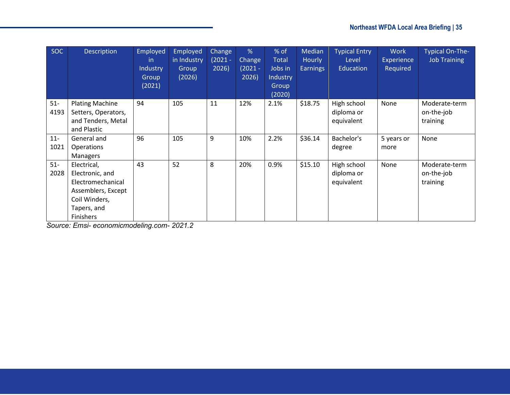| <b>SOC</b>     | <b>Description</b>                                                                                                            | Employed<br>-in<br>Industry<br>Group<br>(2021) | Employed<br>in Industry<br>Group<br>(2026) | Change<br>$(2021 -$<br>2026) | %<br>Change<br>$(2021 -$<br>2026) | % of<br><b>Total</b><br>Jobs in<br>Industry<br>Group<br>(2020) | Median<br>Hourly<br><b>Earnings</b> | <b>Typical Entry</b><br>Level<br>Education | <b>Work</b><br>Experience<br>Required | Typical On-The-<br><b>Job Training</b>  |
|----------------|-------------------------------------------------------------------------------------------------------------------------------|------------------------------------------------|--------------------------------------------|------------------------------|-----------------------------------|----------------------------------------------------------------|-------------------------------------|--------------------------------------------|---------------------------------------|-----------------------------------------|
| $51-$<br>4193  | <b>Plating Machine</b><br>Setters, Operators,<br>and Tenders, Metal<br>and Plastic                                            | 94                                             | 105                                        | 11                           | 12%                               | 2.1%                                                           | \$18.75                             | High school<br>diploma or<br>equivalent    | None                                  | Moderate-term<br>on-the-job<br>training |
| $11 -$<br>1021 | General and<br><b>Operations</b><br><b>Managers</b>                                                                           | 96                                             | 105                                        | 9                            | 10%                               | 2.2%                                                           | \$36.14                             | Bachelor's<br>degree                       | 5 years or<br>more                    | None                                    |
| $51-$<br>2028  | Electrical,<br>Electronic, and<br>Electromechanical<br>Assemblers, Except<br>Coil Winders,<br>Tapers, and<br><b>Finishers</b> | 43                                             | 52                                         | 8                            | 20%                               | 0.9%                                                           | \$15.10                             | High school<br>diploma or<br>equivalent    | None                                  | Moderate-term<br>on-the-job<br>training |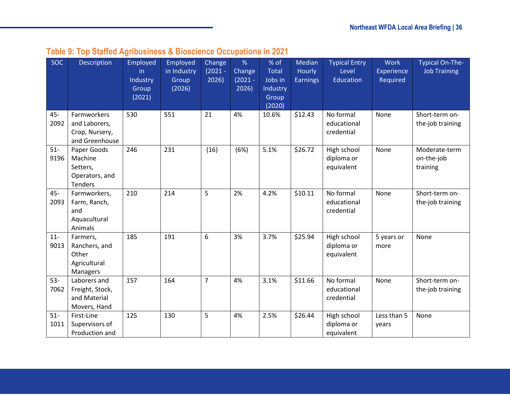<span id="page-35-0"></span>

| <b>SOC</b>     | <b>Description</b>                                                     | Employed<br>in.<br>Industry<br>Group<br>(2021) | Employed<br>in Industry<br>Group<br>(2026) | Change<br>$(2021 -$<br>2026) | %<br>Change<br>$(2021 -$<br>2026) | % of<br><b>Total</b><br>Jobs in<br>Industry<br>Group<br>(2020) | Median<br>Hourly<br><b>Earnings</b> | <b>Typical Entry</b><br>Level<br>Education | <b>Work</b><br>Experience<br>Required | <b>Typical On-The-</b><br><b>Job Training</b> |
|----------------|------------------------------------------------------------------------|------------------------------------------------|--------------------------------------------|------------------------------|-----------------------------------|----------------------------------------------------------------|-------------------------------------|--------------------------------------------|---------------------------------------|-----------------------------------------------|
| $45 -$<br>2092 | Farmworkers<br>and Laborers,<br>Crop, Nursery,<br>and Greenhouse       | 530                                            | 551                                        | 21                           | 4%                                | 10.6%                                                          | \$12.43                             | No formal<br>educational<br>credential     | None                                  | Short-term on-<br>the-job training            |
| $51-$<br>9196  | Paper Goods<br>Machine<br>Setters,<br>Operators, and<br><b>Tenders</b> | 246                                            | 231                                        | (16)                         | (6%)                              | 5.1%                                                           | \$26.72                             | High school<br>diploma or<br>equivalent    | None                                  | Moderate-term<br>on-the-job<br>training       |
| 45-<br>2093    | Farmworkers,<br>Farm, Ranch,<br>and<br>Aquacultural<br>Animals         | 210                                            | 214                                        | 5                            | 2%                                | 4.2%                                                           | \$10.11                             | No formal<br>educational<br>credential     | None                                  | Short-term on-<br>the-job training            |
| $11 -$<br>9013 | Farmers,<br>Ranchers, and<br>Other<br>Agricultural<br>Managers         | 185                                            | 191                                        | 6                            | 3%                                | 3.7%                                                           | \$25.94                             | High school<br>diploma or<br>equivalent    | 5 years or<br>more                    | None                                          |
| $53-$<br>7062  | Laborers and<br>Freight, Stock,<br>and Material<br>Movers, Hand        | 157                                            | 164                                        | $\overline{7}$               | 4%                                | 3.1%                                                           | \$11.66                             | No formal<br>educational<br>credential     | None                                  | Short-term on-<br>the-job training            |
| $51-$<br>1011  | First-Line<br>Supervisors of<br>Production and                         | 125                                            | 130                                        | 5                            | 4%                                | 2.5%                                                           | \$26.44                             | High school<br>diploma or<br>equivalent    | Less than 5<br>years                  | None                                          |

## **Table 9: Top Staffed Agribusiness & Bioscience Occupations in 2021**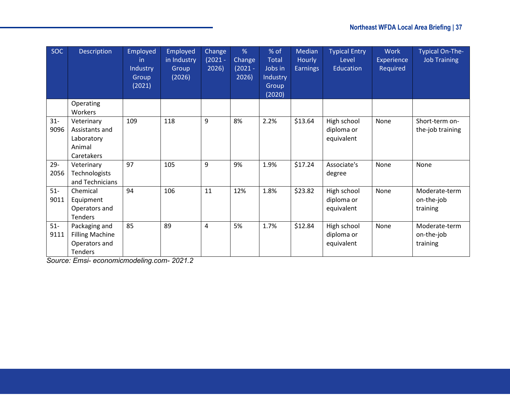| <b>SOC</b>     | Description                                                                | Employed<br>-in<br>Industry<br>Group<br>(2021) | Employed<br>in Industry<br>Group<br>(2026) | Change<br>$(2021 -$<br>2026) | %<br>Change<br>$(2021 -$<br>2026) | % of<br><b>Total</b><br>Jobs in<br>Industry<br>Group<br>(2020) | Median<br>Hourly<br><b>Earnings</b> | <b>Typical Entry</b><br>Level<br>Education | <b>Work</b><br>Experience<br>Required | <b>Typical On-The-</b><br><b>Job Training</b> |
|----------------|----------------------------------------------------------------------------|------------------------------------------------|--------------------------------------------|------------------------------|-----------------------------------|----------------------------------------------------------------|-------------------------------------|--------------------------------------------|---------------------------------------|-----------------------------------------------|
|                | Operating<br>Workers                                                       |                                                |                                            |                              |                                   |                                                                |                                     |                                            |                                       |                                               |
| $31 -$<br>9096 | Veterinary<br>Assistants and<br>Laboratory<br>Animal<br>Caretakers         | 109                                            | 118                                        | 9                            | 8%                                | 2.2%                                                           | \$13.64                             | High school<br>diploma or<br>equivalent    | None                                  | Short-term on-<br>the-job training            |
| $29 -$<br>2056 | Veterinary<br>Technologists<br>and Technicians                             | 97                                             | 105                                        | 9                            | 9%                                | 1.9%                                                           | \$17.24                             | Associate's<br>degree                      | None                                  | None                                          |
| $51-$<br>9011  | Chemical<br>Equipment<br>Operators and<br><b>Tenders</b>                   | 94                                             | 106                                        | 11                           | 12%                               | 1.8%                                                           | \$23.82                             | High school<br>diploma or<br>equivalent    | None                                  | Moderate-term<br>on-the-job<br>training       |
| $51-$<br>9111  | Packaging and<br><b>Filling Machine</b><br>Operators and<br><b>Tenders</b> | 85                                             | 89                                         | 4                            | 5%                                | 1.7%                                                           | \$12.84                             | High school<br>diploma or<br>equivalent    | None                                  | Moderate-term<br>on-the-job<br>training       |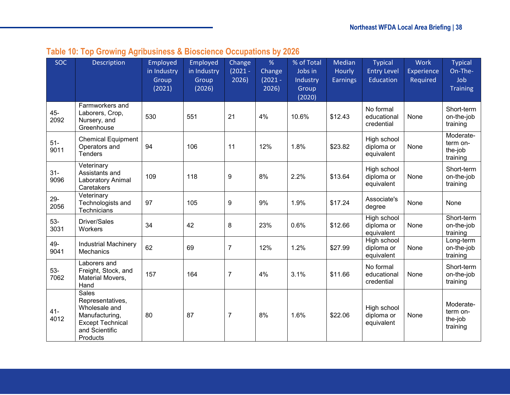|  | Table 10: Top Growing Agribusiness & Bioscience Occupations by 2026 |  |  |
|--|---------------------------------------------------------------------|--|--|
|--|---------------------------------------------------------------------|--|--|

<span id="page-37-0"></span>

| <b>SOC</b>     | Description                                                                                                           | Employed<br>in Industry<br>Group<br>(2021) | Employed<br>in Industry<br>Group<br>(2026) | Change<br>$(2021 -$<br>2026) | %<br>Change<br>$(2021 -$<br>2026) | % of Total<br>Jobs in<br>Industry<br>Group<br>(2020) | Median<br>Hourly<br><b>Earnings</b> | <b>Typical</b><br><b>Entry Level</b><br>Education | <b>Work</b><br><b>Experience</b><br>Required | <b>Typical</b><br>On-The-<br>Job<br><b>Training</b> |
|----------------|-----------------------------------------------------------------------------------------------------------------------|--------------------------------------------|--------------------------------------------|------------------------------|-----------------------------------|------------------------------------------------------|-------------------------------------|---------------------------------------------------|----------------------------------------------|-----------------------------------------------------|
| 45-<br>2092    | Farmworkers and<br>Laborers, Crop,<br>Nursery, and<br>Greenhouse                                                      | 530                                        | 551                                        | 21                           | 4%                                | 10.6%                                                | \$12.43                             | No formal<br>educational<br>credential            | None                                         | Short-term<br>on-the-job<br>training                |
| $51-$<br>9011  | <b>Chemical Equipment</b><br>Operators and<br><b>Tenders</b>                                                          | 94                                         | 106                                        | 11                           | 12%                               | 1.8%                                                 | \$23.82                             | High school<br>diploma or<br>equivalent           | None                                         | Moderate-<br>term on-<br>the-job<br>training        |
| $31-$<br>9096  | Veterinary<br>Assistants and<br>Laboratory Animal<br>Caretakers                                                       | 109                                        | 118                                        | $\boldsymbol{9}$             | 8%                                | 2.2%                                                 | \$13.64                             | High school<br>diploma or<br>equivalent           | None                                         | Short-term<br>on-the-job<br>training                |
| $29 -$<br>2056 | Veterinary<br>Technologists and<br>Technicians                                                                        | 97                                         | 105                                        | $\boldsymbol{9}$             | 9%                                | 1.9%                                                 | \$17.24                             | Associate's<br>degree                             | None                                         | None                                                |
| $53-$<br>3031  | Driver/Sales<br>Workers                                                                                               | 34                                         | 42                                         | 8                            | 23%                               | 0.6%                                                 | \$12.66                             | High school<br>diploma or<br>equivalent           | None                                         | Short-term<br>on-the-job<br>training                |
| 49-<br>9041    | <b>Industrial Machinery</b><br>Mechanics                                                                              | 62                                         | 69                                         | $\overline{7}$               | 12%                               | 1.2%                                                 | \$27.99                             | High school<br>diploma or<br>equivalent           | None                                         | Long-term<br>on-the-job<br>training                 |
| $53-$<br>7062  | Laborers and<br>Freight, Stock, and<br>Material Movers,<br>Hand                                                       | 157                                        | 164                                        | $\overline{7}$               | 4%                                | 3.1%                                                 | \$11.66                             | No formal<br>educational<br>credential            | None                                         | Short-term<br>on-the-job<br>training                |
| $41 -$<br>4012 | Sales<br>Representatives,<br>Wholesale and<br>Manufacturing,<br><b>Except Technical</b><br>and Scientific<br>Products | 80                                         | 87                                         | $\overline{7}$               | 8%                                | 1.6%                                                 | \$22.06                             | High school<br>diploma or<br>equivalent           | None                                         | Moderate-<br>term on-<br>the-job<br>training        |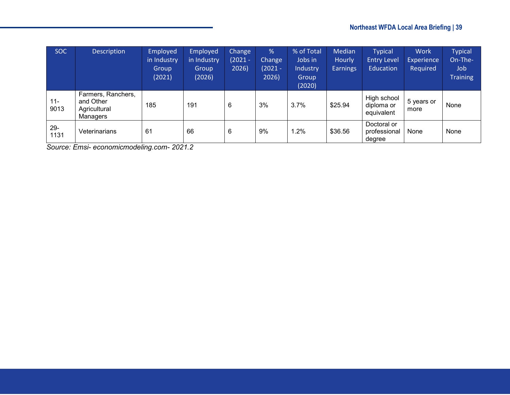| <b>SOC</b>     | <b>Description</b>                                          | Employed<br>in Industry<br>Group<br>(2021) | <b>Employed</b><br>in Industry<br>Group<br>(2026) | Change<br>$(2021 -$<br>2026) | %<br><b>Change</b><br>$(2021 -$<br>2026) | % of Total<br>Jobs in<br>Industry<br>Group<br>(2020) | <b>Median</b><br>Hourly<br><b>Earnings</b> | <b>Typical</b><br><b>Entry Level</b><br>Education | <b>Work</b><br><b>Experience</b><br>Required | <b>Typical</b><br>On-The-<br>Job.<br><b>Training</b> |
|----------------|-------------------------------------------------------------|--------------------------------------------|---------------------------------------------------|------------------------------|------------------------------------------|------------------------------------------------------|--------------------------------------------|---------------------------------------------------|----------------------------------------------|------------------------------------------------------|
| $11 -$<br>9013 | Farmers, Ranchers,<br>and Other<br>Agricultural<br>Managers | 185                                        | 191                                               | 6                            | 3%                                       | 3.7%                                                 | \$25.94                                    | High school<br>diploma or<br>equivalent           | 5 years or<br>more                           | None                                                 |
| $29 -$<br>1131 | Veterinarians                                               | 61                                         | 66                                                | 6                            | 9%                                       | $.2\%$                                               | \$36.56                                    | Doctoral or<br>professional<br>degree             | None                                         | None                                                 |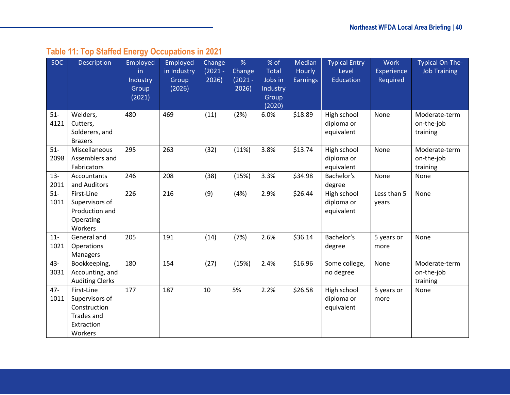# **Table 11: Top Staffed Energy Occupations in 2021**

<span id="page-39-0"></span>

| <b>SOC</b>     | Description                                                                                | Employed<br>in.<br>Industry<br>Group<br>(2021) | Employed<br>in Industry<br>Group<br>(2026) | Change<br>$(2021 -$<br>2026) | %<br>Change<br>$(2021 -$<br>2026) | % of<br><b>Total</b><br>Jobs in<br>Industry<br>Group | Median<br>Hourly<br><b>Earnings</b> | <b>Typical Entry</b><br>Level<br><b>Education</b> | <b>Work</b><br>Experience<br>Required | <b>Typical On-The-</b><br><b>Job Training</b> |
|----------------|--------------------------------------------------------------------------------------------|------------------------------------------------|--------------------------------------------|------------------------------|-----------------------------------|------------------------------------------------------|-------------------------------------|---------------------------------------------------|---------------------------------------|-----------------------------------------------|
|                |                                                                                            |                                                |                                            |                              |                                   | (2020)                                               |                                     |                                                   |                                       |                                               |
| $51-$<br>4121  | Welders,<br>Cutters,<br>Solderers, and<br><b>Brazers</b>                                   | 480                                            | 469                                        | (11)                         | (2%)                              | 6.0%                                                 | \$18.89                             | High school<br>diploma or<br>equivalent           | None                                  | Moderate-term<br>on-the-job<br>training       |
| $51-$<br>2098  | Miscellaneous<br>Assemblers and<br>Fabricators                                             | 295                                            | 263                                        | (32)                         | (11%)                             | 3.8%                                                 | \$13.74                             | High school<br>diploma or<br>equivalent           | None                                  | Moderate-term<br>on-the-job<br>training       |
| $13 -$<br>2011 | Accountants<br>and Auditors                                                                | 246                                            | 208                                        | (38)                         | (15%)                             | 3.3%                                                 | \$34.98                             | Bachelor's<br>degree                              | None                                  | None                                          |
| $51-$<br>1011  | First-Line<br>Supervisors of<br>Production and<br>Operating<br>Workers                     | 226                                            | 216                                        | (9)                          | (4%)                              | 2.9%                                                 | \$26.44                             | High school<br>diploma or<br>equivalent           | Less than 5<br>years                  | None                                          |
| $11-$<br>1021  | General and<br>Operations<br>Managers                                                      | 205                                            | 191                                        | (14)                         | (7%)                              | 2.6%                                                 | \$36.14                             | Bachelor's<br>degree                              | 5 years or<br>more                    | None                                          |
| 43-<br>3031    | Bookkeeping,<br>Accounting, and<br><b>Auditing Clerks</b>                                  | 180                                            | 154                                        | (27)                         | (15%)                             | 2.4%                                                 | \$16.96                             | Some college,<br>no degree                        | None                                  | Moderate-term<br>on-the-job<br>training       |
| $47 -$<br>1011 | First-Line<br>Supervisors of<br>Construction<br><b>Trades and</b><br>Extraction<br>Workers | 177                                            | 187                                        | 10                           | 5%                                | 2.2%                                                 | \$26.58                             | High school<br>diploma or<br>equivalent           | 5 years or<br>more                    | None                                          |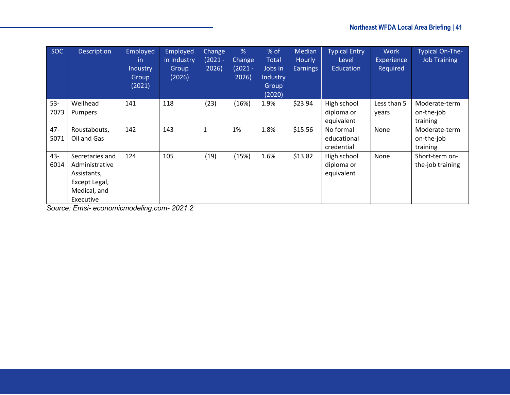| <b>SOC</b> | Description     | Employed<br>-in<br>Industry<br>Group<br>(2021) | <b>Employed</b><br>in Industry<br>Group<br>(2026) | Change<br>(2021 -<br>2026) | %<br>Change<br>$(2021 -$<br>2026) | % of<br><b>Total</b><br>Jobs in<br>Industry<br>Group | Median<br><b>Hourly</b><br><b>Earnings</b> | <b>Typical Entry</b><br>Level<br>Education | <b>Work</b><br>Experience<br>Required | Typical On-The-<br><b>Job Training</b> |
|------------|-----------------|------------------------------------------------|---------------------------------------------------|----------------------------|-----------------------------------|------------------------------------------------------|--------------------------------------------|--------------------------------------------|---------------------------------------|----------------------------------------|
|            |                 |                                                |                                                   |                            |                                   | (2020)                                               |                                            |                                            |                                       |                                        |
| $53 -$     | Wellhead        | 141                                            | 118                                               | (23)                       | (16%)                             | 1.9%                                                 | \$23.94                                    | High school                                | Less than 5                           | Moderate-term                          |
| 7073       | <b>Pumpers</b>  |                                                |                                                   |                            |                                   |                                                      |                                            | diploma or                                 | years                                 | on-the-job                             |
|            |                 |                                                |                                                   |                            |                                   |                                                      |                                            | equivalent                                 |                                       | training                               |
| $47 -$     | Roustabouts,    | 142                                            | 143                                               |                            | 1%                                | 1.8%                                                 | \$15.56                                    | No formal                                  | None                                  | Moderate-term                          |
| 5071       | Oil and Gas     |                                                |                                                   |                            |                                   |                                                      |                                            | educational                                |                                       | on-the-job                             |
|            |                 |                                                |                                                   |                            |                                   |                                                      |                                            | credential                                 |                                       | training                               |
| 43-        | Secretaries and | 124                                            | 105                                               | (19)                       | (15%)                             | 1.6%                                                 | \$13.82                                    | High school                                | None                                  | Short-term on-                         |
| 6014       | Administrative  |                                                |                                                   |                            |                                   |                                                      |                                            | diploma or                                 |                                       | the-job training                       |
|            | Assistants,     |                                                |                                                   |                            |                                   |                                                      |                                            | equivalent                                 |                                       |                                        |
|            | Except Legal,   |                                                |                                                   |                            |                                   |                                                      |                                            |                                            |                                       |                                        |
|            | Medical, and    |                                                |                                                   |                            |                                   |                                                      |                                            |                                            |                                       |                                        |
|            | Executive       |                                                |                                                   |                            |                                   |                                                      |                                            |                                            |                                       |                                        |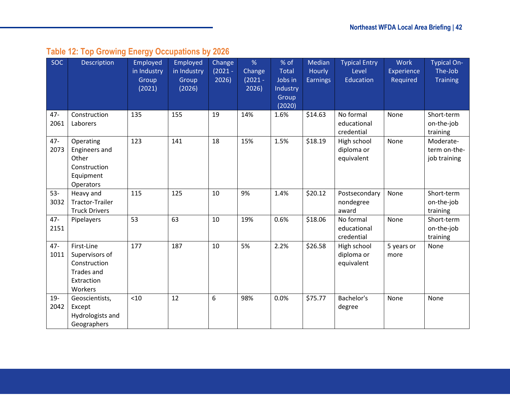# **Table 12: Top Growing Energy Occupations by 2026**

<span id="page-41-0"></span>

| <b>SOC</b>     | <b>Description</b>                                                                         | <b>Employed</b><br>in Industry<br>Group<br>(2021) | Employed<br>in Industry<br>Group<br>(2026) | Change<br>$(2021 -$<br>2026) | %<br>Change<br>$(2021 -$<br>2026) | % of<br>Total<br>Jobs in<br>Industry<br>Group<br>(2020) | Median<br>Hourly<br><b>Earnings</b> | <b>Typical Entry</b><br>Level<br>Education | <b>Work</b><br>Experience<br>Required | <b>Typical On-</b><br>The-Job<br><b>Training</b> |
|----------------|--------------------------------------------------------------------------------------------|---------------------------------------------------|--------------------------------------------|------------------------------|-----------------------------------|---------------------------------------------------------|-------------------------------------|--------------------------------------------|---------------------------------------|--------------------------------------------------|
| $47 -$<br>2061 | Construction<br>Laborers                                                                   | 135                                               | 155                                        | 19                           | 14%                               | 1.6%                                                    | \$14.63                             | No formal<br>educational<br>credential     | None                                  | Short-term<br>on-the-job<br>training             |
| $47 -$<br>2073 | Operating<br><b>Engineers and</b><br>Other<br>Construction<br>Equipment<br>Operators       | 123                                               | 141                                        | 18                           | 15%                               | 1.5%                                                    | \$18.19                             | High school<br>diploma or<br>equivalent    | None                                  | Moderate-<br>term on-the-<br>job training        |
| $53 -$<br>3032 | Heavy and<br>Tractor-Trailer<br><b>Truck Drivers</b>                                       | 115                                               | 125                                        | 10                           | 9%                                | 1.4%                                                    | \$20.12                             | Postsecondary<br>nondegree<br>award        | None                                  | Short-term<br>on-the-job<br>training             |
| $47 -$<br>2151 | Pipelayers                                                                                 | 53                                                | 63                                         | 10                           | 19%                               | 0.6%                                                    | \$18.06                             | No formal<br>educational<br>credential     | None                                  | Short-term<br>on-the-job<br>training             |
| $47 -$<br>1011 | First-Line<br>Supervisors of<br>Construction<br><b>Trades and</b><br>Extraction<br>Workers | 177                                               | 187                                        | 10                           | 5%                                | 2.2%                                                    | \$26.58                             | High school<br>diploma or<br>equivalent    | 5 years or<br>more                    | None                                             |
| $19 -$<br>2042 | Geoscientists,<br>Except<br>Hydrologists and<br>Geographers                                | < 10                                              | 12                                         | 6                            | 98%                               | 0.0%                                                    | \$75.77                             | Bachelor's<br>degree                       | None                                  | None                                             |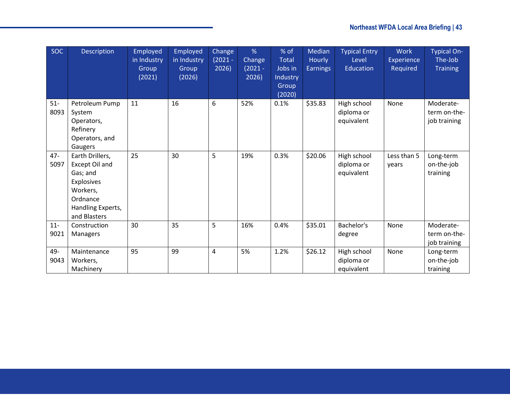| SOC            | <b>Description</b>                                                                                                       | Employed<br>in Industry<br>Group<br>(2021) | Employed<br>in Industry<br>Group<br>(2026) | Change<br>$(2021 -$<br>2026) | %<br>Change<br>$(2021 -$<br>2026) | % of<br><b>Total</b><br>Jobs in<br>Industry<br>Group<br>(2020) | Median<br>Hourly<br><b>Earnings</b> | <b>Typical Entry</b><br>Level<br>Education | <b>Work</b><br>Experience<br>Required | <b>Typical On-</b><br>The-Job<br><b>Training</b> |
|----------------|--------------------------------------------------------------------------------------------------------------------------|--------------------------------------------|--------------------------------------------|------------------------------|-----------------------------------|----------------------------------------------------------------|-------------------------------------|--------------------------------------------|---------------------------------------|--------------------------------------------------|
| $51-$<br>8093  | Petroleum Pump<br>System<br>Operators,<br>Refinery<br>Operators, and<br>Gaugers                                          | 11                                         | 16                                         | 6                            | 52%                               | 0.1%                                                           | \$35.83                             | High school<br>diploma or<br>equivalent    | None                                  | Moderate-<br>term on-the-<br>job training        |
| $47 -$<br>5097 | Earth Drillers,<br>Except Oil and<br>Gas; and<br>Explosives<br>Workers,<br>Ordnance<br>Handling Experts,<br>and Blasters | 25                                         | 30                                         | 5                            | 19%                               | 0.3%                                                           | \$20.06                             | High school<br>diploma or<br>equivalent    | Less than 5<br>years                  | Long-term<br>on-the-job<br>training              |
| $11-$<br>9021  | Construction<br>Managers                                                                                                 | 30                                         | 35                                         | 5                            | 16%                               | 0.4%                                                           | \$35.01                             | Bachelor's<br>degree                       | None                                  | Moderate-<br>term on-the-<br>job training        |
| 49-<br>9043    | Maintenance<br>Workers,<br>Machinery                                                                                     | 95                                         | 99                                         | 4                            | 5%                                | 1.2%                                                           | \$26.12                             | High school<br>diploma or<br>equivalent    | None                                  | Long-term<br>on-the-job<br>training              |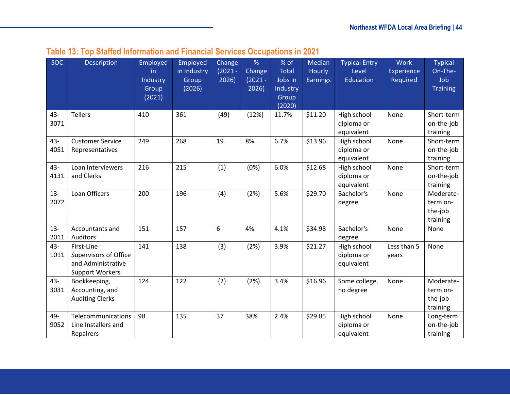|  |  |  |  |  | Table 13: Top Staffed Information and Financial Services Occupations in 2021 |
|--|--|--|--|--|------------------------------------------------------------------------------|
|--|--|--|--|--|------------------------------------------------------------------------------|

<span id="page-43-0"></span>

| <b>SOC</b>     | Description                                                                                | Employed<br>in<br>Industry<br>Group<br>(2021) | Employed<br>in Industry<br>Group<br>(2026) | Change<br>$(2021 -$<br>2026) | %<br>Change<br>$(2021 -$<br>2026) | % of<br><b>Total</b><br>Jobs in<br>Industry<br>Group<br>(2020) | Median<br>Hourly<br><b>Earnings</b> | <b>Typical Entry</b><br>Level<br>Education | <b>Work</b><br>Experience<br>Required | <b>Typical</b><br>On-The-<br>Job<br><b>Training</b> |
|----------------|--------------------------------------------------------------------------------------------|-----------------------------------------------|--------------------------------------------|------------------------------|-----------------------------------|----------------------------------------------------------------|-------------------------------------|--------------------------------------------|---------------------------------------|-----------------------------------------------------|
| 43-<br>3071    | <b>Tellers</b>                                                                             | 410                                           | 361                                        | (49)                         | (12%)                             | 11.7%                                                          | \$11.20                             | High school<br>diploma or<br>equivalent    | None                                  | Short-term<br>on-the-job<br>training                |
| $43 -$<br>4051 | <b>Customer Service</b><br>Representatives                                                 | 249                                           | 268                                        | 19                           | 8%                                | 6.7%                                                           | \$13.96                             | High school<br>diploma or<br>equivalent    | None                                  | Short-term<br>on-the-job<br>training                |
| 43-<br>4131    | Loan Interviewers<br>and Clerks                                                            | 216                                           | 215                                        | (1)                          | (0%)                              | 6.0%                                                           | \$12.68                             | High school<br>diploma or<br>equivalent    | None                                  | Short-term<br>on-the-job<br>training                |
| $13 -$<br>2072 | Loan Officers                                                                              | 200                                           | 196                                        | (4)                          | (2%)                              | 5.6%                                                           | \$29.70                             | Bachelor's<br>degree                       | None                                  | Moderate-<br>term on-<br>the-job<br>training        |
| $13-$<br>2011  | Accountants and<br><b>Auditors</b>                                                         | 151                                           | 157                                        | 6                            | 4%                                | 4.1%                                                           | \$34.98                             | Bachelor's<br>degree                       | None                                  | None                                                |
| 43-<br>1011    | First-Line<br><b>Supervisors of Office</b><br>and Administrative<br><b>Support Workers</b> | 141                                           | 138                                        | (3)                          | (2%)                              | 3.9%                                                           | \$21.27                             | High school<br>diploma or<br>equivalent    | Less than 5<br>years                  | None                                                |
| $43 -$<br>3031 | Bookkeeping,<br>Accounting, and<br><b>Auditing Clerks</b>                                  | 124                                           | 122                                        | (2)                          | (2%)                              | 3.4%                                                           | \$16.96                             | Some college,<br>no degree                 | None                                  | Moderate-<br>term on-<br>the-job<br>training        |
| 49-<br>9052    | Telecommunications<br>Line Installers and<br>Repairers                                     | 98                                            | 135                                        | 37                           | 38%                               | 2.4%                                                           | \$29.85                             | High school<br>diploma or<br>equivalent    | None                                  | Long-term<br>on-the-job<br>training                 |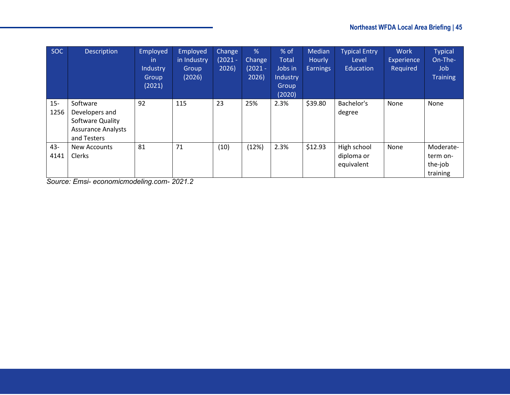| <b>SOC</b>     | <b>Description</b>                                                                         | Employed<br>in.<br>Industry<br>Group<br>(2021) | Employed<br>in Industry<br>Group<br>(2026) | <b>Change</b><br>$(2021 -$<br>2026) | $\frac{9}{6}$<br><b>Change</b><br>$(2021 -$<br>2026) | % of<br><b>Total</b><br>Jobs in<br>Industry<br>Group<br>(2020) | Median<br><b>Hourly</b><br><b>Earnings</b> | <b>Typical Entry</b><br>Level<br>Education | <b>Work</b><br>Experience<br>Required | <b>Typical</b><br>On-The-<br>Job<br><b>Training</b> |
|----------------|--------------------------------------------------------------------------------------------|------------------------------------------------|--------------------------------------------|-------------------------------------|------------------------------------------------------|----------------------------------------------------------------|--------------------------------------------|--------------------------------------------|---------------------------------------|-----------------------------------------------------|
| $15 -$<br>1256 | Software<br>Developers and<br>Software Quality<br><b>Assurance Analysts</b><br>and Testers | 92                                             | 115                                        | 23                                  | 25%                                                  | 2.3%                                                           | \$39.80                                    | Bachelor's<br>degree                       | None                                  | None                                                |
| 43-<br>4141    | New Accounts<br>Clerks                                                                     | 81                                             | 71                                         | (10)                                | (12%)                                                | 2.3%                                                           | \$12.93                                    | High school<br>diploma or<br>equivalent    | None                                  | Moderate-<br>term on-<br>the-job<br>training        |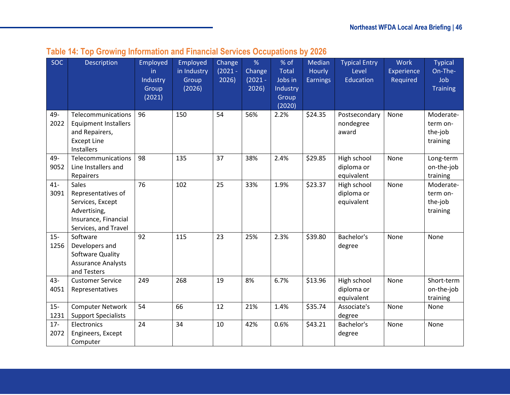<span id="page-45-0"></span>

| <b>SOC</b>     | Description                                                                                                     | Employed<br>in.<br>Industry<br>Group<br>(2021) | Employed<br>in Industry<br>Group<br>(2026) | Change<br>$(2021 -$<br>2026) | %<br>Change<br>$(2021 -$<br>2026) | % of<br><b>Total</b><br>Jobs in<br>Industry<br>Group<br>(2020) | Median<br>Hourly<br><b>Earnings</b> | <b>Typical Entry</b><br>Level<br>Education | <b>Work</b><br>Experience<br>Required | <b>Typical</b><br>On-The-<br>Job<br><b>Training</b> |
|----------------|-----------------------------------------------------------------------------------------------------------------|------------------------------------------------|--------------------------------------------|------------------------------|-----------------------------------|----------------------------------------------------------------|-------------------------------------|--------------------------------------------|---------------------------------------|-----------------------------------------------------|
| 49-<br>2022    | Telecommunications<br><b>Equipment Installers</b><br>and Repairers,<br><b>Except Line</b><br>Installers         | 96                                             | 150                                        | 54                           | 56%                               | 2.2%                                                           | \$24.35                             | Postsecondary<br>nondegree<br>award        | None                                  | Moderate-<br>term on-<br>the-job<br>training        |
| 49-<br>9052    | Telecommunications<br>Line Installers and<br>Repairers                                                          | 98                                             | 135                                        | 37                           | 38%                               | 2.4%                                                           | \$29.85                             | High school<br>diploma or<br>equivalent    | None                                  | Long-term<br>on-the-job<br>training                 |
| $41 -$<br>3091 | Sales<br>Representatives of<br>Services, Except<br>Advertising,<br>Insurance, Financial<br>Services, and Travel | 76                                             | 102                                        | 25                           | 33%                               | 1.9%                                                           | \$23.37                             | High school<br>diploma or<br>equivalent    | None                                  | Moderate-<br>term on-<br>the-job<br>training        |
| $15-$<br>1256  | Software<br>Developers and<br>Software Quality<br><b>Assurance Analysts</b><br>and Testers                      | 92                                             | 115                                        | 23                           | 25%                               | 2.3%                                                           | \$39.80                             | Bachelor's<br>degree                       | None                                  | None                                                |
| 43-<br>4051    | <b>Customer Service</b><br>Representatives                                                                      | 249                                            | 268                                        | 19                           | 8%                                | 6.7%                                                           | \$13.96                             | High school<br>diploma or<br>equivalent    | None                                  | Short-term<br>on-the-job<br>training                |
| $15-$<br>1231  | <b>Computer Network</b><br><b>Support Specialists</b>                                                           | 54                                             | 66                                         | 12                           | 21%                               | 1.4%                                                           | \$35.74                             | Associate's<br>degree                      | None                                  | None                                                |
| $17 -$<br>2072 | Electronics<br>Engineers, Except<br>Computer                                                                    | 24                                             | 34                                         | 10                           | 42%                               | 0.6%                                                           | \$43.21                             | Bachelor's<br>degree                       | None                                  | None                                                |

## **Table 14: Top Growing Information and Financial Services Occupations by 2026**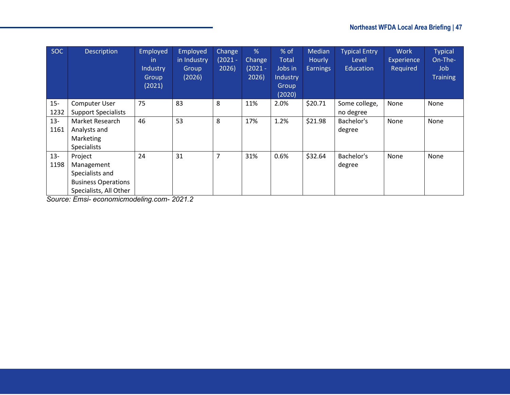| SOC    | Description                | Employed<br>in.<br><b>Industry</b><br>Group<br>(2021) | Employed<br>in Industry<br>Group<br>(2026) | Change<br>$(2021 -$<br>2026) | %<br><b>Change</b><br>$(2021 -$<br>2026) | % of<br><b>Total</b><br>Jobs in<br>Industry<br>Group<br>(2020) | Median<br>Hourly<br><b>Earnings</b> | <b>Typical Entry</b><br>Level<br><b>Education</b> | <b>Work</b><br>Experience<br>Required | <b>Typical</b><br>On-The-<br>Job.<br><b>Training</b> |
|--------|----------------------------|-------------------------------------------------------|--------------------------------------------|------------------------------|------------------------------------------|----------------------------------------------------------------|-------------------------------------|---------------------------------------------------|---------------------------------------|------------------------------------------------------|
| $15 -$ | Computer User              | 75                                                    | 83                                         | 8                            | 11%                                      | 2.0%                                                           | \$20.71                             | Some college,                                     | None                                  | None                                                 |
| 1232   | <b>Support Specialists</b> |                                                       |                                            |                              |                                          |                                                                |                                     | no degree                                         |                                       |                                                      |
| $13 -$ | Market Research            | 46                                                    | 53                                         | 8                            | 17%                                      | 1.2%                                                           | \$21.98                             | Bachelor's                                        | None                                  | None                                                 |
| 1161   | Analysts and               |                                                       |                                            |                              |                                          |                                                                |                                     | degree                                            |                                       |                                                      |
|        | Marketing                  |                                                       |                                            |                              |                                          |                                                                |                                     |                                                   |                                       |                                                      |
|        | <b>Specialists</b>         |                                                       |                                            |                              |                                          |                                                                |                                     |                                                   |                                       |                                                      |
| $13 -$ | Project                    | 24                                                    | 31                                         | 7                            | 31%                                      | 0.6%                                                           | \$32.64                             | Bachelor's                                        | <b>None</b>                           | None                                                 |
| 1198   | Management                 |                                                       |                                            |                              |                                          |                                                                |                                     | degree                                            |                                       |                                                      |
|        | Specialists and            |                                                       |                                            |                              |                                          |                                                                |                                     |                                                   |                                       |                                                      |
|        | <b>Business Operations</b> |                                                       |                                            |                              |                                          |                                                                |                                     |                                                   |                                       |                                                      |
|        | Specialists, All Other     |                                                       |                                            |                              |                                          |                                                                |                                     |                                                   |                                       |                                                      |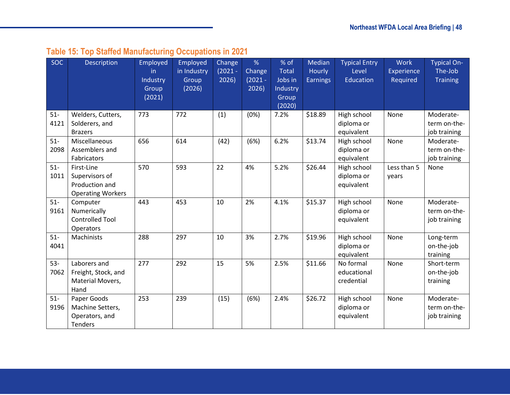# **Table 15: Top Staffed Manufacturing Occupations in 2021**

<span id="page-47-0"></span>

| <b>SOC</b>    | Description                                                                | Employed<br>in.<br>Industry<br>Group<br>(2021) | Employed<br>in Industry<br>Group<br>(2026) | Change<br>$(2021 -$<br>2026) | %<br>Change<br>$(2021 -$<br>2026) | % of<br><b>Total</b><br>Jobs in<br>Industry<br>Group<br>(2020) | Median<br>Hourly<br><b>Earnings</b> | <b>Typical Entry</b><br>Level<br><b>Education</b> | <b>Work</b><br>Experience<br>Required | <b>Typical On-</b><br>The-Job<br><b>Training</b> |
|---------------|----------------------------------------------------------------------------|------------------------------------------------|--------------------------------------------|------------------------------|-----------------------------------|----------------------------------------------------------------|-------------------------------------|---------------------------------------------------|---------------------------------------|--------------------------------------------------|
| $51 -$        | Welders, Cutters,                                                          | 773                                            | 772                                        | (1)                          | (0%)                              | 7.2%                                                           | \$18.89                             | High school                                       | None                                  | Moderate-                                        |
| 4121          | Solderers, and<br><b>Brazers</b>                                           |                                                |                                            |                              |                                   |                                                                |                                     | diploma or<br>equivalent                          |                                       | term on-the-<br>job training                     |
| $51-$<br>2098 | Miscellaneous<br>Assemblers and<br>Fabricators                             | 656                                            | 614                                        | (42)                         | (6%)                              | 6.2%                                                           | \$13.74                             | High school<br>diploma or<br>equivalent           | None                                  | Moderate-<br>term on-the-<br>job training        |
| $51-$<br>1011 | First-Line<br>Supervisors of<br>Production and<br><b>Operating Workers</b> | 570                                            | 593                                        | 22                           | 4%                                | 5.2%                                                           | \$26.44                             | High school<br>diploma or<br>equivalent           | Less than 5<br>years                  | None                                             |
| $51-$<br>9161 | Computer<br>Numerically<br><b>Controlled Tool</b><br>Operators             | 443                                            | 453                                        | 10                           | 2%                                | 4.1%                                                           | \$15.37                             | High school<br>diploma or<br>equivalent           | None                                  | Moderate-<br>term on-the-<br>job training        |
| $51-$<br>4041 | Machinists                                                                 | 288                                            | 297                                        | 10                           | 3%                                | 2.7%                                                           | \$19.96                             | High school<br>diploma or<br>equivalent           | None                                  | Long-term<br>on-the-job<br>training              |
| $53-$<br>7062 | Laborers and<br>Freight, Stock, and<br>Material Movers,<br>Hand            | 277                                            | 292                                        | 15                           | 5%                                | 2.5%                                                           | \$11.66                             | No formal<br>educational<br>credential            | None                                  | Short-term<br>on-the-job<br>training             |
| $51-$<br>9196 | Paper Goods<br>Machine Setters,<br>Operators, and<br><b>Tenders</b>        | 253                                            | 239                                        | (15)                         | (6%)                              | 2.4%                                                           | \$26.72                             | High school<br>diploma or<br>equivalent           | None                                  | Moderate-<br>term on-the-<br>job training        |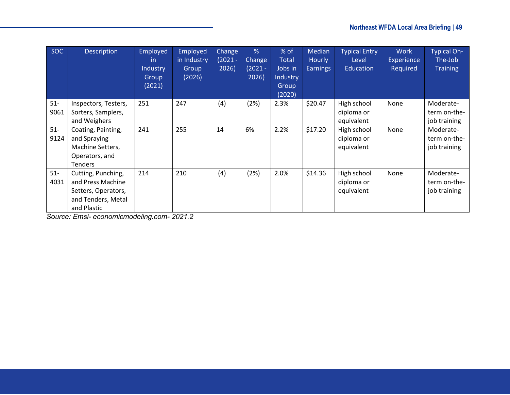| <b>SOC</b>     | Description                                                                                         | Employed<br>-in<br>Industry<br>Group<br>(2021) | Employed<br>in Industry<br>Group<br>(2026) | Change<br>$(2021 -$<br>2026) | %<br>Change<br>$(2021 -$<br>2026) | $%$ of<br>Total<br>Jobs in<br>Industry<br>Group<br>(2020) | Median<br>Hourly<br><b>Earnings</b> | <b>Typical Entry</b><br>Level<br>Education | <b>Work</b><br>Experience<br>Required | <b>Typical On-</b><br>The-Job<br><b>Training</b> |
|----------------|-----------------------------------------------------------------------------------------------------|------------------------------------------------|--------------------------------------------|------------------------------|-----------------------------------|-----------------------------------------------------------|-------------------------------------|--------------------------------------------|---------------------------------------|--------------------------------------------------|
| $51 -$<br>9061 | Inspectors, Testers,<br>Sorters, Samplers,<br>and Weighers                                          | 251                                            | 247                                        | (4)                          | (2%)                              | 2.3%                                                      | \$20.47                             | High school<br>diploma or<br>equivalent    | None                                  | Moderate-<br>term on-the-<br>job training        |
| $51-$<br>9124  | Coating, Painting,<br>and Spraying<br>Machine Setters,<br>Operators, and<br>Tenders                 | 241                                            | 255                                        | 14                           | 6%                                | 2.2%                                                      | \$17.20                             | High school<br>diploma or<br>equivalent    | None                                  | Moderate-<br>term on-the-<br>job training        |
| $51-$<br>4031  | Cutting, Punching,<br>and Press Machine<br>Setters, Operators,<br>and Tenders, Metal<br>and Plastic | 214                                            | 210                                        | (4)                          | (2%)                              | 2.0%                                                      | \$14.36                             | High school<br>diploma or<br>equivalent    | None                                  | Moderate-<br>term on-the-<br>job training        |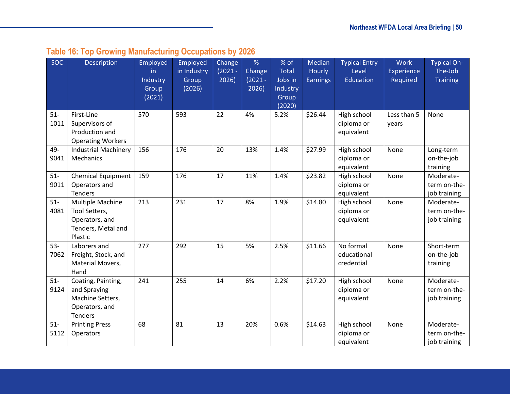<span id="page-49-0"></span>

| <b>SOC</b>    | Description                                                                          | Employed<br>in<br>Industry<br>Group<br>(2021) | Employed<br>in Industry<br>Group<br>(2026) | Change<br>$(2021 -$<br>2026) | %<br>Change<br>$(2021 -$<br>2026) | % of<br><b>Total</b><br>Jobs in<br>Industry<br>Group<br>(2020) | Median<br>Hourly<br><b>Earnings</b> | <b>Typical Entry</b><br>Level<br><b>Education</b> | <b>Work</b><br>Experience<br>Required | Typical On-<br>The-Job<br><b>Training</b> |
|---------------|--------------------------------------------------------------------------------------|-----------------------------------------------|--------------------------------------------|------------------------------|-----------------------------------|----------------------------------------------------------------|-------------------------------------|---------------------------------------------------|---------------------------------------|-------------------------------------------|
| $51-$<br>1011 | First-Line<br>Supervisors of<br>Production and<br><b>Operating Workers</b>           | 570                                           | 593                                        | 22                           | 4%                                | 5.2%                                                           | \$26.44                             | High school<br>diploma or<br>equivalent           | Less than 5<br>years                  | None                                      |
| 49-<br>9041   | <b>Industrial Machinery</b><br><b>Mechanics</b>                                      | 156                                           | 176                                        | 20                           | 13%                               | 1.4%                                                           | \$27.99                             | High school<br>diploma or<br>equivalent           | None                                  | Long-term<br>on-the-job<br>training       |
| $51-$<br>9011 | <b>Chemical Equipment</b><br>Operators and<br><b>Tenders</b>                         | 159                                           | 176                                        | 17                           | 11%                               | 1.4%                                                           | \$23.82                             | High school<br>diploma or<br>equivalent           | None                                  | Moderate-<br>term on-the-<br>job training |
| $51-$<br>4081 | Multiple Machine<br>Tool Setters,<br>Operators, and<br>Tenders, Metal and<br>Plastic | 213                                           | 231                                        | 17                           | 8%                                | 1.9%                                                           | \$14.80                             | High school<br>diploma or<br>equivalent           | None                                  | Moderate-<br>term on-the-<br>job training |
| $53-$<br>7062 | Laborers and<br>Freight, Stock, and<br>Material Movers,<br>Hand                      | 277                                           | 292                                        | 15                           | 5%                                | 2.5%                                                           | \$11.66                             | No formal<br>educational<br>credential            | None                                  | Short-term<br>on-the-job<br>training      |
| $51-$<br>9124 | Coating, Painting,<br>and Spraying<br>Machine Setters,<br>Operators, and<br>Tenders  | 241                                           | 255                                        | 14                           | 6%                                | 2.2%                                                           | \$17.20                             | High school<br>diploma or<br>equivalent           | None                                  | Moderate-<br>term on-the-<br>job training |
| $51-$<br>5112 | <b>Printing Press</b><br>Operators                                                   | 68                                            | 81                                         | 13                           | 20%                               | 0.6%                                                           | \$14.63                             | High school<br>diploma or<br>equivalent           | None                                  | Moderate-<br>term on-the-<br>job training |

# **Table 16: Top Growing Manufacturing Occupations by 2026**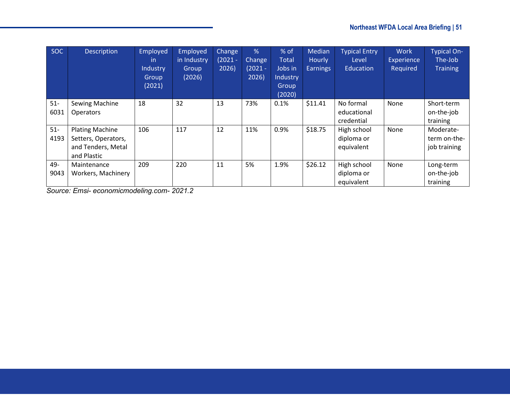| <b>SOC</b>     | <b>Description</b>                                                                 | Employed<br>-in<br>Industry<br>Group<br>(2021) | Employed<br>in Industry<br>Group<br>(2026) | <b>Change</b><br>$(2021 -$<br>2026) | %<br><b>Change</b><br>$(2021 -$<br>2026) | % of<br><b>Total</b><br>Jobs in<br>Industry<br>Group<br>(2020) | Median<br><b>Hourly</b><br><b>Earnings</b> | <b>Typical Entry</b><br>Level<br>Education | <b>Work</b><br>Experience<br>Required | <b>Typical On-</b><br>The-Job<br><b>Training</b> |
|----------------|------------------------------------------------------------------------------------|------------------------------------------------|--------------------------------------------|-------------------------------------|------------------------------------------|----------------------------------------------------------------|--------------------------------------------|--------------------------------------------|---------------------------------------|--------------------------------------------------|
| $51 -$<br>6031 | Sewing Machine<br><b>Operators</b>                                                 | 18                                             | 32                                         | 13                                  | 73%                                      | 0.1%                                                           | \$11.41                                    | No formal<br>educational<br>credential     | None                                  | Short-term<br>on-the-job<br>training             |
| $51-$<br>4193  | <b>Plating Machine</b><br>Setters, Operators,<br>and Tenders, Metal<br>and Plastic | 106                                            | 117                                        | 12                                  | 11%                                      | 0.9%                                                           | \$18.75                                    | High school<br>diploma or<br>equivalent    | None                                  | Moderate-<br>term on-the-<br>job training        |
| 49-<br>9043    | Maintenance<br>Workers, Machinery                                                  | 209                                            | 220                                        | 11                                  | 5%                                       | 1.9%                                                           | \$26.12                                    | High school<br>diploma or<br>equivalent    | None                                  | Long-term<br>on-the-job<br>training              |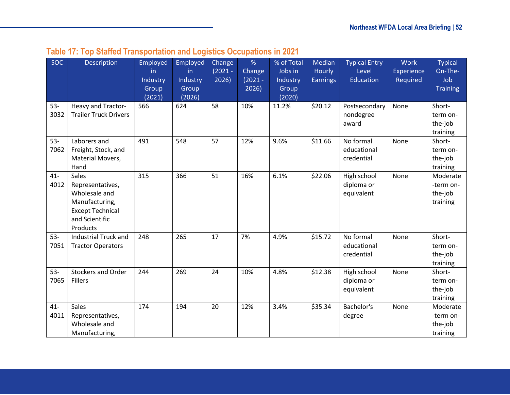<span id="page-51-0"></span>

| <b>SOC</b>     | Description                                                                                                           | Employed<br>in.<br>Industry<br>Group<br>(2021) | Employed<br>in.<br>Industry<br>Group<br>(2026) | Change<br>$(2021 -$<br>2026) | %<br>Change<br>$(2021 -$<br>2026) | % of Total<br>Jobs in<br>Industry<br>Group<br>(2020) | Median<br>Hourly<br><b>Earnings</b> | <b>Typical Entry</b><br>Level<br>Education | <b>Work</b><br>Experience<br>Required | <b>Typical</b><br>On-The-<br>Job<br><b>Training</b> |
|----------------|-----------------------------------------------------------------------------------------------------------------------|------------------------------------------------|------------------------------------------------|------------------------------|-----------------------------------|------------------------------------------------------|-------------------------------------|--------------------------------------------|---------------------------------------|-----------------------------------------------------|
| $53 -$<br>3032 | Heavy and Tractor-<br><b>Trailer Truck Drivers</b>                                                                    | 566                                            | 624                                            | 58                           | 10%                               | 11.2%                                                | \$20.12                             | Postsecondary<br>nondegree<br>award        | None                                  | Short-<br>term on-<br>the-job<br>training           |
| $53-$<br>7062  | Laborers and<br>Freight, Stock, and<br>Material Movers,<br>Hand                                                       | 491                                            | 548                                            | 57                           | 12%                               | 9.6%                                                 | \$11.66                             | No formal<br>educational<br>credential     | None                                  | Short-<br>term on-<br>the-job<br>training           |
| $41 -$<br>4012 | Sales<br>Representatives,<br>Wholesale and<br>Manufacturing,<br><b>Except Technical</b><br>and Scientific<br>Products | 315                                            | 366                                            | 51                           | 16%                               | 6.1%                                                 | \$22.06                             | High school<br>diploma or<br>equivalent    | None                                  | Moderate<br>-term on-<br>the-job<br>training        |
| $53 -$<br>7051 | <b>Industrial Truck and</b><br><b>Tractor Operators</b>                                                               | 248                                            | 265                                            | 17                           | 7%                                | 4.9%                                                 | \$15.72                             | No formal<br>educational<br>credential     | None                                  | Short-<br>term on-<br>the-job<br>training           |
| $53-$<br>7065  | <b>Stockers and Order</b><br><b>Fillers</b>                                                                           | 244                                            | 269                                            | 24                           | 10%                               | 4.8%                                                 | \$12.38                             | High school<br>diploma or<br>equivalent    | None                                  | Short-<br>term on-<br>the-job<br>training           |
| $41 -$<br>4011 | Sales<br>Representatives,<br>Wholesale and<br>Manufacturing,                                                          | 174                                            | 194                                            | 20                           | 12%                               | 3.4%                                                 | \$35.34                             | Bachelor's<br>degree                       | None                                  | Moderate<br>-term on-<br>the-job<br>training        |

# **Table 17: Top Staffed Transportation and Logistics Occupations in 2021**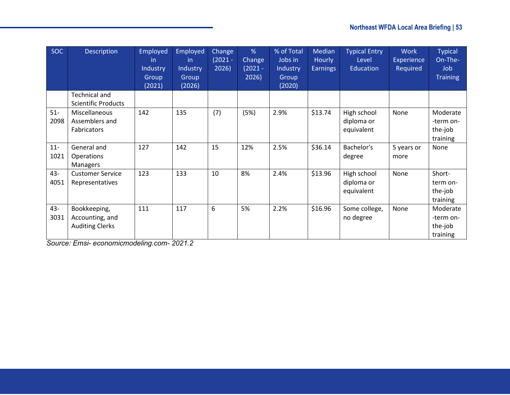| <b>SOC</b>     | Description                                               | Employed<br>in.<br>Industry<br>Group<br>(2021) | Employed<br>-in<br>Industry<br>Group<br>(2026) | Change<br>$(2021 -$<br>2026) | %<br>Change<br>$(2021 -$<br>2026) | % of Total<br>Jobs in<br>Industry<br>Group<br>(2020) | <b>Median</b><br>Hourly<br><b>Earnings</b> | <b>Typical Entry</b><br>Level<br>Education | <b>Work</b><br><b>Experience</b><br>Required | <b>Typical</b><br>On-The-<br>Job<br><b>Training</b> |
|----------------|-----------------------------------------------------------|------------------------------------------------|------------------------------------------------|------------------------------|-----------------------------------|------------------------------------------------------|--------------------------------------------|--------------------------------------------|----------------------------------------------|-----------------------------------------------------|
|                | <b>Technical and</b><br><b>Scientific Products</b>        |                                                |                                                |                              |                                   |                                                      |                                            |                                            |                                              |                                                     |
| $51-$<br>2098  | Miscellaneous<br>Assemblers and<br>Fabricators            | 142                                            | 135                                            | (7)                          | (5%)                              | 2.9%                                                 | \$13.74                                    | High school<br>diploma or<br>equivalent    | None                                         | Moderate<br>-term on-<br>the-job<br>training        |
| $11 -$<br>1021 | General and<br><b>Operations</b><br>Managers              | 127                                            | 142                                            | 15                           | 12%                               | 2.5%                                                 | \$36.14                                    | Bachelor's<br>degree                       | 5 years or<br>more                           | None                                                |
| 43-<br>4051    | <b>Customer Service</b><br>Representatives                | 123                                            | 133                                            | 10                           | 8%                                | 2.4%                                                 | \$13.96                                    | High school<br>diploma or<br>equivalent    | None                                         | Short-<br>term on-<br>the-job<br>training           |
| 43-<br>3031    | Bookkeeping,<br>Accounting, and<br><b>Auditing Clerks</b> | 111                                            | 117                                            | 6                            | 5%                                | 2.2%                                                 | \$16.96                                    | Some college,<br>no degree                 | None                                         | Moderate<br>-term on-<br>the-job<br>training        |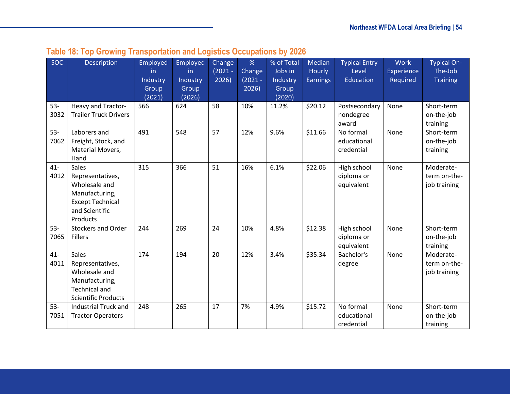<span id="page-53-0"></span>

| <b>SOC</b>     | Description                                                                                                                  | Employed<br>in.<br>Industry<br>Group<br>(2021) | Employed<br>in<br>Industry<br>Group<br>(2026) | Change<br>$(2021 -$<br>2026) | %<br>Change<br>$(2021 -$<br>2026) | % of Total<br>Jobs in<br>Industry<br>Group<br>(2020) | Median<br><b>Hourly</b><br><b>Earnings</b> | <b>Typical Entry</b><br>Level<br><b>Education</b> | <b>Work</b><br>Experience<br>Required | <b>Typical On-</b><br>The-Job<br><b>Training</b> |
|----------------|------------------------------------------------------------------------------------------------------------------------------|------------------------------------------------|-----------------------------------------------|------------------------------|-----------------------------------|------------------------------------------------------|--------------------------------------------|---------------------------------------------------|---------------------------------------|--------------------------------------------------|
| $53 -$<br>3032 | Heavy and Tractor-<br><b>Trailer Truck Drivers</b>                                                                           | 566                                            | 624                                           | 58                           | 10%                               | 11.2%                                                | \$20.12                                    | Postsecondary<br>nondegree<br>award               | None                                  | Short-term<br>on-the-job<br>training             |
| $53-$<br>7062  | Laborers and<br>Freight, Stock, and<br>Material Movers,<br>Hand                                                              | 491                                            | 548                                           | 57                           | 12%                               | 9.6%                                                 | \$11.66                                    | No formal<br>educational<br>credential            | None                                  | Short-term<br>on-the-job<br>training             |
| $41 -$<br>4012 | <b>Sales</b><br>Representatives,<br>Wholesale and<br>Manufacturing,<br><b>Except Technical</b><br>and Scientific<br>Products | 315                                            | 366                                           | 51                           | 16%                               | 6.1%                                                 | \$22.06                                    | High school<br>diploma or<br>equivalent           | None                                  | Moderate-<br>term on-the-<br>job training        |
| $53-$<br>7065  | <b>Stockers and Order</b><br><b>Fillers</b>                                                                                  | 244                                            | 269                                           | 24                           | 10%                               | 4.8%                                                 | \$12.38                                    | High school<br>diploma or<br>equivalent           | None                                  | Short-term<br>on-the-job<br>training             |
| $41 -$<br>4011 | Sales<br>Representatives,<br>Wholesale and<br>Manufacturing,<br><b>Technical and</b><br><b>Scientific Products</b>           | 174                                            | 194                                           | 20                           | 12%                               | 3.4%                                                 | \$35.34                                    | Bachelor's<br>degree                              | None                                  | Moderate-<br>term on-the-<br>job training        |
| $53 -$<br>7051 | Industrial Truck and<br><b>Tractor Operators</b>                                                                             | 248                                            | 265                                           | 17                           | 7%                                | 4.9%                                                 | \$15.72                                    | No formal<br>educational<br>credential            | None                                  | Short-term<br>on-the-job<br>training             |

# **Table 18: Top Growing Transportation and Logistics Occupations by 2026**